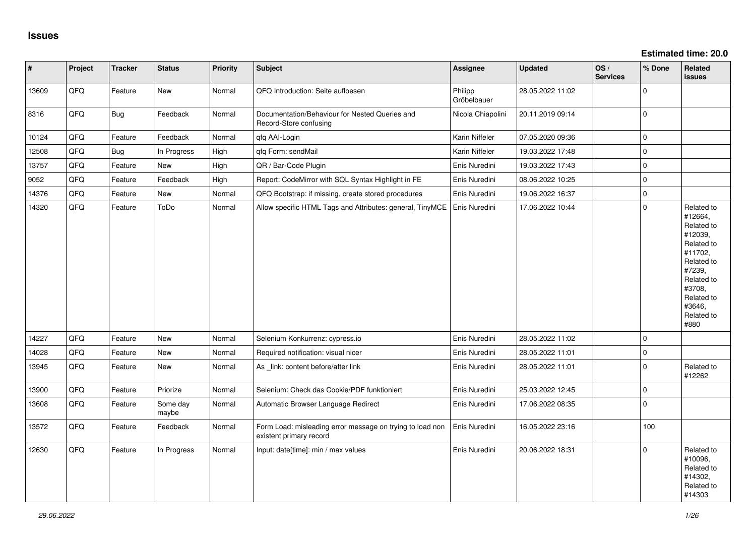| $\vert$ # | Project | <b>Tracker</b> | <b>Status</b>     | <b>Priority</b> | <b>Subject</b>                                                                       | Assignee               | <b>Updated</b>   | OS/<br><b>Services</b> | % Done      | Related<br><b>issues</b>                                                                                                                                              |
|-----------|---------|----------------|-------------------|-----------------|--------------------------------------------------------------------------------------|------------------------|------------------|------------------------|-------------|-----------------------------------------------------------------------------------------------------------------------------------------------------------------------|
| 13609     | QFQ     | Feature        | New               | Normal          | QFQ Introduction: Seite aufloesen                                                    | Philipp<br>Gröbelbauer | 28.05.2022 11:02 |                        | $\mathbf 0$ |                                                                                                                                                                       |
| 8316      | QFQ     | <b>Bug</b>     | Feedback          | Normal          | Documentation/Behaviour for Nested Queries and<br>Record-Store confusing             | Nicola Chiapolini      | 20.11.2019 09:14 |                        | $\Omega$    |                                                                                                                                                                       |
| 10124     | QFQ     | Feature        | Feedback          | Normal          | qfq AAI-Login                                                                        | Karin Niffeler         | 07.05.2020 09:36 |                        | $\mathbf 0$ |                                                                                                                                                                       |
| 12508     | QFQ     | <b>Bug</b>     | In Progress       | High            | qfq Form: sendMail                                                                   | Karin Niffeler         | 19.03.2022 17:48 |                        | $\mathbf 0$ |                                                                                                                                                                       |
| 13757     | QFQ     | Feature        | New               | High            | QR / Bar-Code Plugin                                                                 | Enis Nuredini          | 19.03.2022 17:43 |                        | $\mathbf 0$ |                                                                                                                                                                       |
| 9052      | QFQ     | Feature        | Feedback          | High            | Report: CodeMirror with SQL Syntax Highlight in FE                                   | Enis Nuredini          | 08.06.2022 10:25 |                        | $\mathbf 0$ |                                                                                                                                                                       |
| 14376     | QFQ     | Feature        | New               | Normal          | QFQ Bootstrap: if missing, create stored procedures                                  | Enis Nuredini          | 19.06.2022 16:37 |                        | $\mathbf 0$ |                                                                                                                                                                       |
| 14320     | QFQ     | Feature        | ToDo              | Normal          | Allow specific HTML Tags and Attributes: general, TinyMCE                            | Enis Nuredini          | 17.06.2022 10:44 |                        | $\Omega$    | Related to<br>#12664,<br>Related to<br>#12039,<br>Related to<br>#11702,<br>Related to<br>#7239,<br>Related to<br>#3708,<br>Related to<br>#3646,<br>Related to<br>#880 |
| 14227     | QFQ     | Feature        | New               | Normal          | Selenium Konkurrenz: cypress.io                                                      | Enis Nuredini          | 28.05.2022 11:02 |                        | $\mathbf 0$ |                                                                                                                                                                       |
| 14028     | QFQ     | Feature        | <b>New</b>        | Normal          | Required notification: visual nicer                                                  | Enis Nuredini          | 28.05.2022 11:01 |                        | $\Omega$    |                                                                                                                                                                       |
| 13945     | QFQ     | Feature        | New               | Normal          | As _link: content before/after link                                                  | Enis Nuredini          | 28.05.2022 11:01 |                        | $\mathbf 0$ | Related to<br>#12262                                                                                                                                                  |
| 13900     | QFQ     | Feature        | Priorize          | Normal          | Selenium: Check das Cookie/PDF funktioniert                                          | Enis Nuredini          | 25.03.2022 12:45 |                        | $\mathbf 0$ |                                                                                                                                                                       |
| 13608     | QFQ     | Feature        | Some day<br>maybe | Normal          | Automatic Browser Language Redirect                                                  | Enis Nuredini          | 17.06.2022 08:35 |                        | $\Omega$    |                                                                                                                                                                       |
| 13572     | QFQ     | Feature        | Feedback          | Normal          | Form Load: misleading error message on trying to load non<br>existent primary record | Enis Nuredini          | 16.05.2022 23:16 |                        | 100         |                                                                                                                                                                       |
| 12630     | QFQ     | Feature        | In Progress       | Normal          | Input: date[time]: min / max values                                                  | Enis Nuredini          | 20.06.2022 18:31 |                        | $\Omega$    | Related to<br>#10096,<br>Related to<br>#14302,<br>Related to<br>#14303                                                                                                |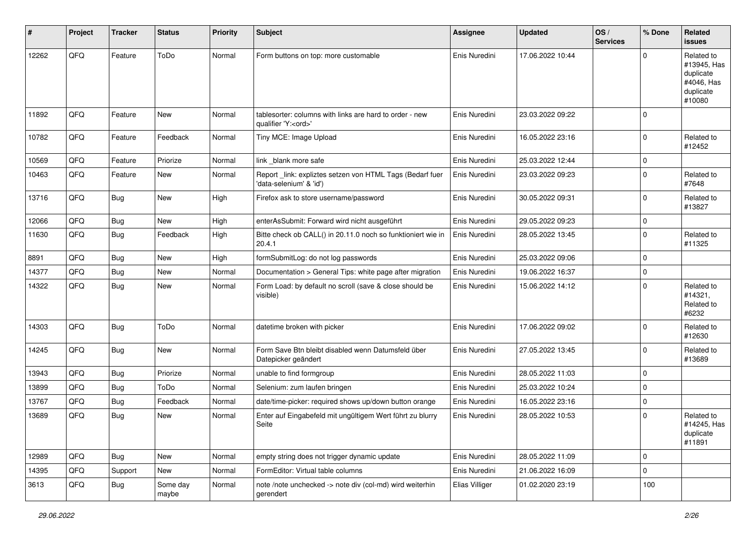| #     | Project | <b>Tracker</b> | <b>Status</b>     | <b>Priority</b> | <b>Subject</b>                                                                        | <b>Assignee</b> | <b>Updated</b>   | OS/<br><b>Services</b> | % Done      | Related<br><b>issues</b>                                                    |
|-------|---------|----------------|-------------------|-----------------|---------------------------------------------------------------------------------------|-----------------|------------------|------------------------|-------------|-----------------------------------------------------------------------------|
| 12262 | QFQ     | Feature        | ToDo              | Normal          | Form buttons on top: more customable                                                  | Enis Nuredini   | 17.06.2022 10:44 |                        | $\Omega$    | Related to<br>#13945, Has<br>duplicate<br>#4046, Has<br>duplicate<br>#10080 |
| 11892 | QFQ     | Feature        | New               | Normal          | tablesorter: columns with links are hard to order - new<br>qualifier 'Y: <ord>'</ord> | Enis Nuredini   | 23.03.2022 09:22 |                        | $\Omega$    |                                                                             |
| 10782 | QFQ     | Feature        | Feedback          | Normal          | Tiny MCE: Image Upload                                                                | Enis Nuredini   | 16.05.2022 23:16 |                        | $\Omega$    | Related to<br>#12452                                                        |
| 10569 | QFQ     | Feature        | Priorize          | Normal          | link _blank more safe                                                                 | Enis Nuredini   | 25.03.2022 12:44 |                        | $\Omega$    |                                                                             |
| 10463 | QFQ     | Feature        | New               | Normal          | Report_link: expliztes setzen von HTML Tags (Bedarf fuer<br>'data-selenium' & 'id')   | Enis Nuredini   | 23.03.2022 09:23 |                        | $\Omega$    | Related to<br>#7648                                                         |
| 13716 | QFQ     | Bug            | New               | High            | Firefox ask to store username/password                                                | Enis Nuredini   | 30.05.2022 09:31 |                        | $\Omega$    | Related to<br>#13827                                                        |
| 12066 | QFQ     | Bug            | New               | High            | enterAsSubmit: Forward wird nicht ausgeführt                                          | Enis Nuredini   | 29.05.2022 09:23 |                        | $\mathbf 0$ |                                                                             |
| 11630 | QFQ     | <b>Bug</b>     | Feedback          | High            | Bitte check ob CALL() in 20.11.0 noch so funktioniert wie in<br>20.4.1                | Enis Nuredini   | 28.05.2022 13:45 |                        | $\Omega$    | Related to<br>#11325                                                        |
| 8891  | QFQ     | <b>Bug</b>     | New               | High            | formSubmitLog: do not log passwords                                                   | Enis Nuredini   | 25.03.2022 09:06 |                        | $\Omega$    |                                                                             |
| 14377 | QFQ     | Bug            | New               | Normal          | Documentation > General Tips: white page after migration                              | Enis Nuredini   | 19.06.2022 16:37 |                        | $\Omega$    |                                                                             |
| 14322 | QFQ     | Bug            | New               | Normal          | Form Load: by default no scroll (save & close should be<br>visible)                   | Enis Nuredini   | 15.06.2022 14:12 |                        | $\Omega$    | Related to<br>#14321,<br>Related to<br>#6232                                |
| 14303 | QFQ     | Bug            | ToDo              | Normal          | datetime broken with picker                                                           | Enis Nuredini   | 17.06.2022 09:02 |                        | $\Omega$    | Related to<br>#12630                                                        |
| 14245 | QFQ     | Bug            | New               | Normal          | Form Save Btn bleibt disabled wenn Datumsfeld über<br>Datepicker geändert             | Enis Nuredini   | 27.05.2022 13:45 |                        | $\Omega$    | Related to<br>#13689                                                        |
| 13943 | QFQ     | Bug            | Priorize          | Normal          | unable to find formgroup                                                              | Enis Nuredini   | 28.05.2022 11:03 |                        | $\Omega$    |                                                                             |
| 13899 | QFQ     | <b>Bug</b>     | ToDo              | Normal          | Selenium: zum laufen bringen                                                          | Enis Nuredini   | 25.03.2022 10:24 |                        | $\Omega$    |                                                                             |
| 13767 | QFQ     | <b>Bug</b>     | Feedback          | Normal          | date/time-picker: required shows up/down button orange                                | Enis Nuredini   | 16.05.2022 23:16 |                        | $\mathbf 0$ |                                                                             |
| 13689 | QFQ     | Bug            | New               | Normal          | Enter auf Eingabefeld mit ungültigem Wert führt zu blurry<br>Seite                    | Enis Nuredini   | 28.05.2022 10:53 |                        | 0           | Related to<br>#14245, Has<br>duplicate<br>#11891                            |
| 12989 | QFQ     | <b>Bug</b>     | New               | Normal          | empty string does not trigger dynamic update                                          | Enis Nuredini   | 28.05.2022 11:09 |                        | 0           |                                                                             |
| 14395 | QFQ     | Support        | New               | Normal          | FormEditor: Virtual table columns                                                     | Enis Nuredini   | 21.06.2022 16:09 |                        | 0           |                                                                             |
| 3613  | QFQ     | <b>Bug</b>     | Some day<br>maybe | Normal          | note /note unchecked -> note div (col-md) wird weiterhin<br>gerendert                 | Elias Villiger  | 01.02.2020 23:19 |                        | 100         |                                                                             |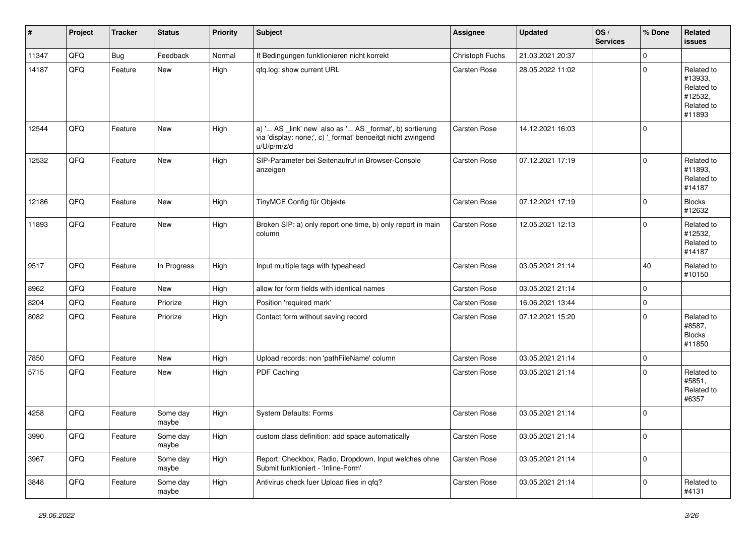| $\vert$ # | Project | <b>Tracker</b> | <b>Status</b>     | <b>Priority</b> | <b>Subject</b>                                                                                                                        | Assignee            | <b>Updated</b>   | OS/<br><b>Services</b> | % Done      | Related<br>issues                                                      |
|-----------|---------|----------------|-------------------|-----------------|---------------------------------------------------------------------------------------------------------------------------------------|---------------------|------------------|------------------------|-------------|------------------------------------------------------------------------|
| 11347     | QFQ     | Bug            | Feedback          | Normal          | If Bedingungen funktionieren nicht korrekt                                                                                            | Christoph Fuchs     | 21.03.2021 20:37 |                        | $\mathbf 0$ |                                                                        |
| 14187     | QFQ     | Feature        | New               | High            | gfg.log: show current URL                                                                                                             | Carsten Rose        | 28.05.2022 11:02 |                        | $\mathbf 0$ | Related to<br>#13933,<br>Related to<br>#12532,<br>Related to<br>#11893 |
| 12544     | QFQ     | Feature        | <b>New</b>        | High            | a) ' AS _link' new also as ' AS _format', b) sortierung<br>via 'display: none;', c) '_format' benoeitgt nicht zwingend<br>u/U/p/m/z/d | Carsten Rose        | 14.12.2021 16:03 |                        | $\mathbf 0$ |                                                                        |
| 12532     | QFQ     | Feature        | New               | High            | SIP-Parameter bei Seitenaufruf in Browser-Console<br>anzeigen                                                                         | Carsten Rose        | 07.12.2021 17:19 |                        | $\mathbf 0$ | Related to<br>#11893,<br>Related to<br>#14187                          |
| 12186     | QFQ     | Feature        | New               | High            | TinyMCE Config für Objekte                                                                                                            | Carsten Rose        | 07.12.2021 17:19 |                        | $\pmb{0}$   | <b>Blocks</b><br>#12632                                                |
| 11893     | QFQ     | Feature        | New               | High            | Broken SIP: a) only report one time, b) only report in main<br>column                                                                 | Carsten Rose        | 12.05.2021 12:13 |                        | $\mathbf 0$ | Related to<br>#12532,<br>Related to<br>#14187                          |
| 9517      | QFQ     | Feature        | In Progress       | High            | Input multiple tags with typeahead                                                                                                    | Carsten Rose        | 03.05.2021 21:14 |                        | 40          | Related to<br>#10150                                                   |
| 8962      | QFQ     | Feature        | New               | High            | allow for form fields with identical names                                                                                            | Carsten Rose        | 03.05.2021 21:14 |                        | $\pmb{0}$   |                                                                        |
| 8204      | QFQ     | Feature        | Priorize          | High            | Position 'required mark'                                                                                                              | Carsten Rose        | 16.06.2021 13:44 |                        | $\pmb{0}$   |                                                                        |
| 8082      | QFQ     | Feature        | Priorize          | High            | Contact form without saving record                                                                                                    | Carsten Rose        | 07.12.2021 15:20 |                        | $\mathbf 0$ | Related to<br>#8587,<br><b>Blocks</b><br>#11850                        |
| 7850      | QFQ     | Feature        | <b>New</b>        | High            | Upload records: non 'pathFileName' column                                                                                             | Carsten Rose        | 03.05.2021 21:14 |                        | $\pmb{0}$   |                                                                        |
| 5715      | QFQ     | Feature        | New               | High            | PDF Caching                                                                                                                           | Carsten Rose        | 03.05.2021 21:14 |                        | $\mathbf 0$ | Related to<br>#5851,<br>Related to<br>#6357                            |
| 4258      | QFQ     | Feature        | Some day<br>maybe | High            | System Defaults: Forms                                                                                                                | <b>Carsten Rose</b> | 03.05.2021 21:14 |                        | $\pmb{0}$   |                                                                        |
| 3990      | QFQ     | Feature        | Some day<br>maybe | High            | custom class definition: add space automatically                                                                                      | Carsten Rose        | 03.05.2021 21:14 |                        | $\pmb{0}$   |                                                                        |
| 3967      | QFQ     | Feature        | Some day<br>maybe | High            | Report: Checkbox, Radio, Dropdown, Input welches ohne<br>Submit funktioniert - 'Inline-Form'                                          | Carsten Rose        | 03.05.2021 21:14 |                        | $\pmb{0}$   |                                                                        |
| 3848      | QFQ     | Feature        | Some day<br>maybe | High            | Antivirus check fuer Upload files in qfq?                                                                                             | Carsten Rose        | 03.05.2021 21:14 |                        | $\pmb{0}$   | Related to<br>#4131                                                    |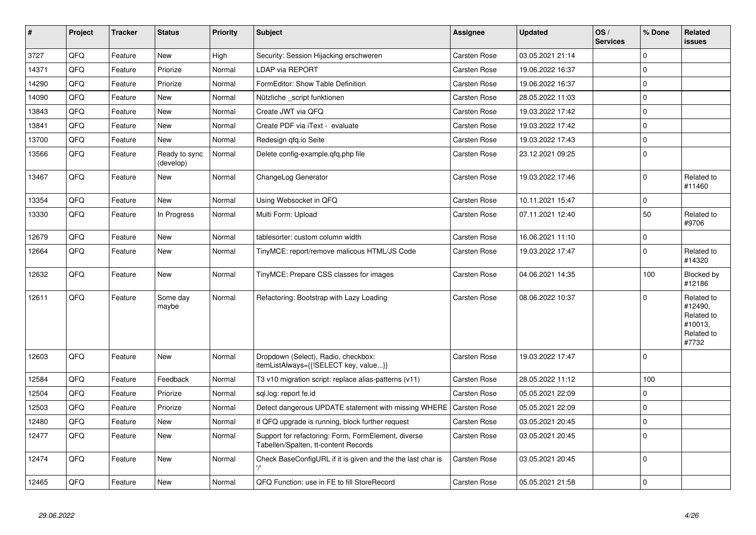| $\vert$ # | Project | <b>Tracker</b> | <b>Status</b>              | <b>Priority</b> | <b>Subject</b>                                                                              | <b>Assignee</b>     | <b>Updated</b>   | OS/<br><b>Services</b> | % Done      | Related<br><b>issues</b>                                              |
|-----------|---------|----------------|----------------------------|-----------------|---------------------------------------------------------------------------------------------|---------------------|------------------|------------------------|-------------|-----------------------------------------------------------------------|
| 3727      | QFQ     | Feature        | New                        | High            | Security: Session Hijacking erschweren                                                      | Carsten Rose        | 03.05.2021 21:14 |                        | $\Omega$    |                                                                       |
| 14371     | QFQ     | Feature        | Priorize                   | Normal          | <b>LDAP via REPORT</b>                                                                      | Carsten Rose        | 19.06.2022 16:37 |                        | $\mathbf 0$ |                                                                       |
| 14290     | QFQ     | Feature        | Priorize                   | Normal          | FormEditor: Show Table Definition                                                           | Carsten Rose        | 19.06.2022 16:37 |                        | $\mathbf 0$ |                                                                       |
| 14090     | QFQ     | Feature        | New                        | Normal          | Nützliche script funktionen                                                                 | <b>Carsten Rose</b> | 28.05.2022 11:03 |                        | $\pmb{0}$   |                                                                       |
| 13843     | QFQ     | Feature        | New                        | Normal          | Create JWT via QFQ                                                                          | Carsten Rose        | 19.03.2022 17:42 |                        | $\mathbf 0$ |                                                                       |
| 13841     | QFQ     | Feature        | <b>New</b>                 | Normal          | Create PDF via iText - evaluate                                                             | Carsten Rose        | 19.03.2022 17:42 |                        | $\mathbf 0$ |                                                                       |
| 13700     | QFQ     | Feature        | <b>New</b>                 | Normal          | Redesign gfg.io Seite                                                                       | Carsten Rose        | 19.03.2022 17:43 |                        | $\mathbf 0$ |                                                                       |
| 13566     | QFQ     | Feature        | Ready to sync<br>(develop) | Normal          | Delete config-example.gfg.php file                                                          | <b>Carsten Rose</b> | 23.12.2021 09:25 |                        | $\Omega$    |                                                                       |
| 13467     | QFQ     | Feature        | New                        | Normal          | ChangeLog Generator                                                                         | Carsten Rose        | 19.03.2022 17:46 |                        | $\Omega$    | Related to<br>#11460                                                  |
| 13354     | QFQ     | Feature        | <b>New</b>                 | Normal          | Using Websocket in QFQ                                                                      | Carsten Rose        | 10.11.2021 15:47 |                        | $\pmb{0}$   |                                                                       |
| 13330     | QFQ     | Feature        | In Progress                | Normal          | Multi Form: Upload                                                                          | Carsten Rose        | 07.11.2021 12:40 |                        | 50          | Related to<br>#9706                                                   |
| 12679     | QFQ     | Feature        | New                        | Normal          | tablesorter: custom column width                                                            | Carsten Rose        | 16.06.2021 11:10 |                        | $\mathbf 0$ |                                                                       |
| 12664     | QFQ     | Feature        | New                        | Normal          | TinyMCE: report/remove malicous HTML/JS Code                                                | <b>Carsten Rose</b> | 19.03.2022 17:47 |                        | $\pmb{0}$   | Related to<br>#14320                                                  |
| 12632     | QFQ     | Feature        | New                        | Normal          | TinyMCE: Prepare CSS classes for images                                                     | Carsten Rose        | 04.06.2021 14:35 |                        | 100         | Blocked by<br>#12186                                                  |
| 12611     | QFQ     | Feature        | Some day<br>maybe          | Normal          | Refactoring: Bootstrap with Lazy Loading                                                    | <b>Carsten Rose</b> | 08.06.2022 10:37 |                        | $\Omega$    | Related to<br>#12490.<br>Related to<br>#10013,<br>Related to<br>#7732 |
| 12603     | QFQ     | Feature        | New                        | Normal          | Dropdown (Select), Radio, checkbox:<br>itemListAlways={{!SELECT key, value}}                | <b>Carsten Rose</b> | 19.03.2022 17:47 |                        | $\pmb{0}$   |                                                                       |
| 12584     | QFQ     | Feature        | Feedback                   | Normal          | T3 v10 migration script: replace alias-patterns (v11)                                       | Carsten Rose        | 28.05.2022 11:12 |                        | 100         |                                                                       |
| 12504     | QFQ     | Feature        | Priorize                   | Normal          | sql.log: report fe.id                                                                       | <b>Carsten Rose</b> | 05.05.2021 22:09 |                        | $\mathbf 0$ |                                                                       |
| 12503     | QFQ     | Feature        | Priorize                   | Normal          | Detect dangerous UPDATE statement with missing WHERE                                        | <b>Carsten Rose</b> | 05.05.2021 22:09 |                        | $\mathbf 0$ |                                                                       |
| 12480     | QFQ     | Feature        | New                        | Normal          | If QFQ upgrade is running, block further request                                            | Carsten Rose        | 03.05.2021 20:45 |                        | $\mathbf 0$ |                                                                       |
| 12477     | QFQ     | Feature        | New                        | Normal          | Support for refactoring: Form, FormElement, diverse<br>Tabellen/Spalten, tt-content Records | <b>Carsten Rose</b> | 03.05.2021 20:45 |                        | $\mathbf 0$ |                                                                       |
| 12474     | QFQ     | Feature        | New                        | Normal          | Check BaseConfigURL if it is given and the the last char is                                 | Carsten Rose        | 03.05.2021 20:45 |                        | $\mathbf 0$ |                                                                       |
| 12465     | QFQ     | Feature        | New                        | Normal          | QFQ Function: use in FE to fill StoreRecord                                                 | <b>Carsten Rose</b> | 05.05.2021 21:58 |                        | $\pmb{0}$   |                                                                       |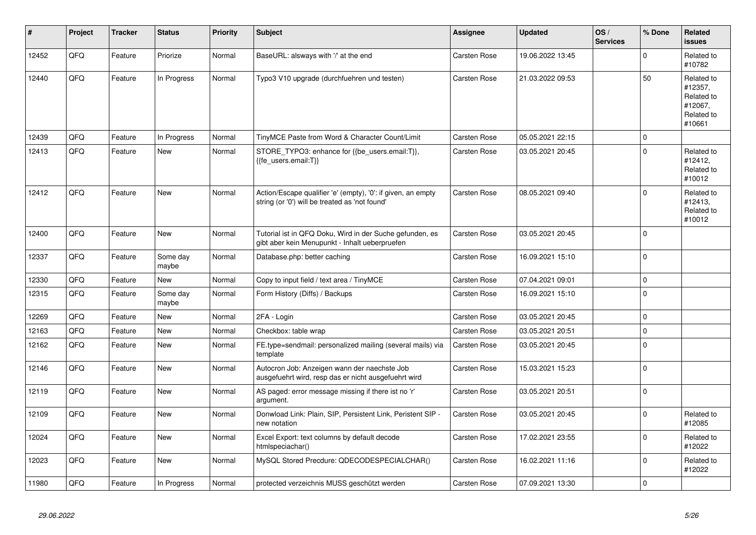| #     | Project | <b>Tracker</b> | <b>Status</b>     | <b>Priority</b> | <b>Subject</b>                                                                                                 | <b>Assignee</b>     | <b>Updated</b>   | OS/<br><b>Services</b> | % Done       | Related<br><b>issues</b>                                               |
|-------|---------|----------------|-------------------|-----------------|----------------------------------------------------------------------------------------------------------------|---------------------|------------------|------------------------|--------------|------------------------------------------------------------------------|
| 12452 | QFQ     | Feature        | Priorize          | Normal          | BaseURL: alsways with '/' at the end                                                                           | Carsten Rose        | 19.06.2022 13:45 |                        | $\mathbf 0$  | Related to<br>#10782                                                   |
| 12440 | QFQ     | Feature        | In Progress       | Normal          | Typo3 V10 upgrade (durchfuehren und testen)                                                                    | Carsten Rose        | 21.03.2022 09:53 |                        | 50           | Related to<br>#12357,<br>Related to<br>#12067.<br>Related to<br>#10661 |
| 12439 | QFQ     | Feature        | In Progress       | Normal          | TinyMCE Paste from Word & Character Count/Limit                                                                | <b>Carsten Rose</b> | 05.05.2021 22:15 |                        | $\mathbf 0$  |                                                                        |
| 12413 | QFQ     | Feature        | <b>New</b>        | Normal          | STORE_TYPO3: enhance for {{be_users.email:T}},<br>{fe_users.email:T}}                                          | <b>Carsten Rose</b> | 03.05.2021 20:45 |                        | $\mathbf 0$  | Related to<br>#12412,<br>Related to<br>#10012                          |
| 12412 | QFQ     | Feature        | <b>New</b>        | Normal          | Action/Escape qualifier 'e' (empty), '0': if given, an empty<br>string (or '0') will be treated as 'not found' | <b>Carsten Rose</b> | 08.05.2021 09:40 |                        | $\mathbf 0$  | Related to<br>#12413,<br>Related to<br>#10012                          |
| 12400 | QFQ     | Feature        | New               | Normal          | Tutorial ist in QFQ Doku, Wird in der Suche gefunden, es<br>gibt aber kein Menupunkt - Inhalt ueberpruefen     | Carsten Rose        | 03.05.2021 20:45 |                        | $\mathbf 0$  |                                                                        |
| 12337 | QFQ     | Feature        | Some day<br>maybe | Normal          | Database.php: better caching                                                                                   | Carsten Rose        | 16.09.2021 15:10 |                        | $\Omega$     |                                                                        |
| 12330 | QFQ     | Feature        | <b>New</b>        | Normal          | Copy to input field / text area / TinyMCE                                                                      | Carsten Rose        | 07.04.2021 09:01 |                        | $\mathbf 0$  |                                                                        |
| 12315 | QFQ     | Feature        | Some day<br>maybe | Normal          | Form History (Diffs) / Backups                                                                                 | Carsten Rose        | 16.09.2021 15:10 |                        | $\mathbf 0$  |                                                                        |
| 12269 | QFQ     | Feature        | <b>New</b>        | Normal          | 2FA - Login                                                                                                    | <b>Carsten Rose</b> | 03.05.2021 20:45 |                        | $\mathbf 0$  |                                                                        |
| 12163 | QFQ     | Feature        | <b>New</b>        | Normal          | Checkbox: table wrap                                                                                           | Carsten Rose        | 03.05.2021 20:51 |                        | $\pmb{0}$    |                                                                        |
| 12162 | QFQ     | Feature        | New               | Normal          | FE.type=sendmail: personalized mailing (several mails) via<br>template                                         | <b>Carsten Rose</b> | 03.05.2021 20:45 |                        | $\mathbf 0$  |                                                                        |
| 12146 | QFQ     | Feature        | <b>New</b>        | Normal          | Autocron Job: Anzeigen wann der naechste Job<br>ausgefuehrt wird, resp das er nicht ausgefuehrt wird           | Carsten Rose        | 15.03.2021 15:23 |                        | $\Omega$     |                                                                        |
| 12119 | QFQ     | Feature        | <b>New</b>        | Normal          | AS paged: error message missing if there ist no 'r'<br>argument.                                               | Carsten Rose        | 03.05.2021 20:51 |                        | $\mathbf 0$  |                                                                        |
| 12109 | QFQ     | Feature        | <b>New</b>        | Normal          | Donwload Link: Plain, SIP, Persistent Link, Peristent SIP -<br>new notation                                    | Carsten Rose        | 03.05.2021 20:45 |                        | $\mathbf 0$  | Related to<br>#12085                                                   |
| 12024 | QFQ     | Feature        | New               | Normal          | Excel Export: text columns by default decode<br>htmlspeciachar()                                               | Carsten Rose        | 17.02.2021 23:55 |                        | $\mathbf 0$  | Related to<br>#12022                                                   |
| 12023 | QFQ     | Feature        | New               | Normal          | MySQL Stored Precdure: QDECODESPECIALCHAR()                                                                    | <b>Carsten Rose</b> | 16.02.2021 11:16 |                        | $\mathbf{0}$ | Related to<br>#12022                                                   |
| 11980 | QFQ     | Feature        | In Progress       | Normal          | protected verzeichnis MUSS geschützt werden                                                                    | <b>Carsten Rose</b> | 07.09.2021 13:30 |                        | $\pmb{0}$    |                                                                        |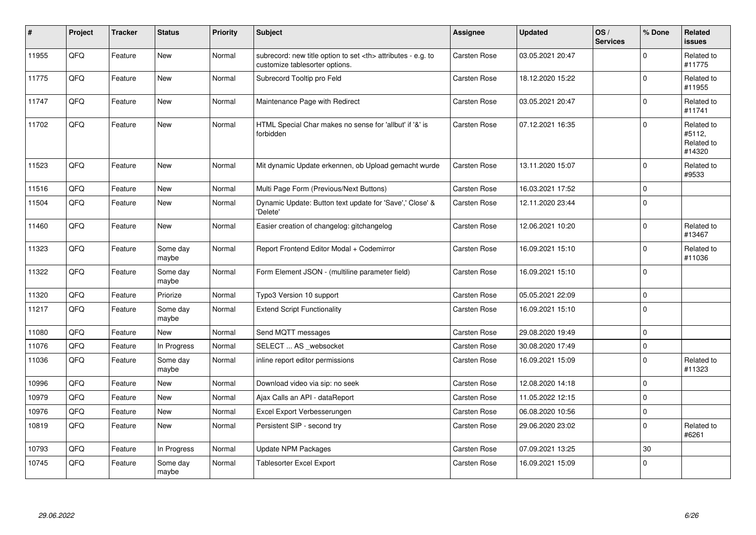| #     | Project | <b>Tracker</b> | <b>Status</b>     | Priority | <b>Subject</b>                                                                                       | Assignee                                               | <b>Updated</b>   | OS/<br><b>Services</b> | % Done      | Related<br>issues                            |                      |
|-------|---------|----------------|-------------------|----------|------------------------------------------------------------------------------------------------------|--------------------------------------------------------|------------------|------------------------|-------------|----------------------------------------------|----------------------|
| 11955 | QFQ     | Feature        | New               | Normal   | subrecord: new title option to set <th> attributes - e.g. to<br/>customize tablesorter options.</th> | attributes - e.g. to<br>customize tablesorter options. | Carsten Rose     | 03.05.2021 20:47       |             | $\Omega$                                     | Related to<br>#11775 |
| 11775 | QFQ     | Feature        | New               | Normal   | Subrecord Tooltip pro Feld                                                                           | Carsten Rose                                           | 18.12.2020 15:22 |                        | $\Omega$    | Related to<br>#11955                         |                      |
| 11747 | QFQ     | Feature        | <b>New</b>        | Normal   | Maintenance Page with Redirect                                                                       | Carsten Rose                                           | 03.05.2021 20:47 |                        | 0           | Related to<br>#11741                         |                      |
| 11702 | QFQ     | Feature        | <b>New</b>        | Normal   | HTML Special Char makes no sense for 'allbut' if '&' is<br>forbidden                                 | <b>Carsten Rose</b>                                    | 07.12.2021 16:35 |                        | $\Omega$    | Related to<br>#5112,<br>Related to<br>#14320 |                      |
| 11523 | QFQ     | Feature        | <b>New</b>        | Normal   | Mit dynamic Update erkennen, ob Upload gemacht wurde                                                 | Carsten Rose                                           | 13.11.2020 15:07 |                        | $\Omega$    | Related to<br>#9533                          |                      |
| 11516 | QFQ     | Feature        | <b>New</b>        | Normal   | Multi Page Form (Previous/Next Buttons)                                                              | Carsten Rose                                           | 16.03.2021 17:52 |                        | $\mathbf 0$ |                                              |                      |
| 11504 | QFQ     | Feature        | New               | Normal   | Dynamic Update: Button text update for 'Save',' Close' &<br>'Delete'                                 | Carsten Rose                                           | 12.11.2020 23:44 |                        | $\mathbf 0$ |                                              |                      |
| 11460 | QFQ     | Feature        | New               | Normal   | Easier creation of changelog: gitchangelog                                                           | Carsten Rose                                           | 12.06.2021 10:20 |                        | $\Omega$    | Related to<br>#13467                         |                      |
| 11323 | QFQ     | Feature        | Some day<br>maybe | Normal   | Report Frontend Editor Modal + Codemirror                                                            | Carsten Rose                                           | 16.09.2021 15:10 |                        | $\Omega$    | Related to<br>#11036                         |                      |
| 11322 | QFQ     | Feature        | Some day<br>maybe | Normal   | Form Element JSON - (multiline parameter field)                                                      | <b>Carsten Rose</b>                                    | 16.09.2021 15:10 |                        | 0           |                                              |                      |
| 11320 | QFQ     | Feature        | Priorize          | Normal   | Typo3 Version 10 support                                                                             | Carsten Rose                                           | 05.05.2021 22:09 |                        | 0           |                                              |                      |
| 11217 | QFQ     | Feature        | Some day<br>maybe | Normal   | <b>Extend Script Functionality</b>                                                                   | Carsten Rose                                           | 16.09.2021 15:10 |                        | $\Omega$    |                                              |                      |
| 11080 | QFQ     | Feature        | <b>New</b>        | Normal   | Send MQTT messages                                                                                   | Carsten Rose                                           | 29.08.2020 19:49 |                        | $\mathbf 0$ |                                              |                      |
| 11076 | QFQ     | Feature        | In Progress       | Normal   | SELECT  AS _websocket                                                                                | Carsten Rose                                           | 30.08.2020 17:49 |                        | $\Omega$    |                                              |                      |
| 11036 | QFQ     | Feature        | Some day<br>maybe | Normal   | inline report editor permissions                                                                     | Carsten Rose                                           | 16.09.2021 15:09 |                        | $\Omega$    | Related to<br>#11323                         |                      |
| 10996 | QFQ     | Feature        | New               | Normal   | Download video via sip: no seek                                                                      | Carsten Rose                                           | 12.08.2020 14:18 |                        | $\mathbf 0$ |                                              |                      |
| 10979 | QFQ     | Feature        | New               | Normal   | Ajax Calls an API - dataReport                                                                       | Carsten Rose                                           | 11.05.2022 12:15 |                        | $\Omega$    |                                              |                      |
| 10976 | QFQ     | Feature        | <b>New</b>        | Normal   | Excel Export Verbesserungen                                                                          | Carsten Rose                                           | 06.08.2020 10:56 |                        | 0           |                                              |                      |
| 10819 | QFQ     | Feature        | New               | Normal   | Persistent SIP - second try                                                                          | <b>Carsten Rose</b>                                    | 29.06.2020 23:02 |                        | $\Omega$    | Related to<br>#6261                          |                      |
| 10793 | QFQ     | Feature        | In Progress       | Normal   | <b>Update NPM Packages</b>                                                                           | <b>Carsten Rose</b>                                    | 07.09.2021 13:25 |                        | 30          |                                              |                      |
| 10745 | QFQ     | Feature        | Some day<br>maybe | Normal   | <b>Tablesorter Excel Export</b>                                                                      | Carsten Rose                                           | 16.09.2021 15:09 |                        | $\Omega$    |                                              |                      |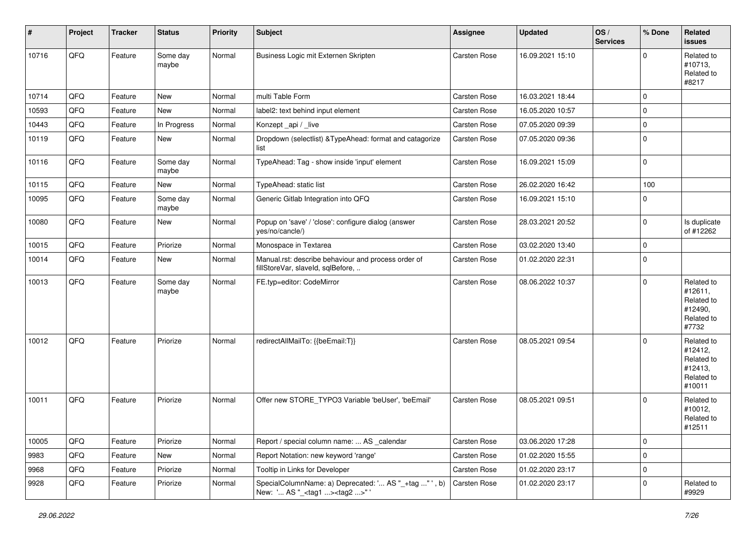| #     | Project | <b>Tracker</b> | <b>Status</b>     | <b>Priority</b> | <b>Subject</b>                                                                                    | Assignee     | <b>Updated</b>   | OS/<br><b>Services</b> | % Done      | Related<br><b>issues</b>                                               |
|-------|---------|----------------|-------------------|-----------------|---------------------------------------------------------------------------------------------------|--------------|------------------|------------------------|-------------|------------------------------------------------------------------------|
| 10716 | QFQ     | Feature        | Some day<br>maybe | Normal          | Business Logic mit Externen Skripten                                                              | Carsten Rose | 16.09.2021 15:10 |                        | $\Omega$    | Related to<br>#10713,<br>Related to<br>#8217                           |
| 10714 | QFQ     | Feature        | New               | Normal          | multi Table Form                                                                                  | Carsten Rose | 16.03.2021 18:44 |                        | $\mathbf 0$ |                                                                        |
| 10593 | QFQ     | Feature        | <b>New</b>        | Normal          | label2: text behind input element                                                                 | Carsten Rose | 16.05.2020 10:57 |                        | $\mathbf 0$ |                                                                        |
| 10443 | QFQ     | Feature        | In Progress       | Normal          | Konzept_api / _live                                                                               | Carsten Rose | 07.05.2020 09:39 |                        | $\mathbf 0$ |                                                                        |
| 10119 | QFQ     | Feature        | New               | Normal          | Dropdown (selectlist) & TypeAhead: format and catagorize<br>list                                  | Carsten Rose | 07.05.2020 09:36 |                        | $\mathbf 0$ |                                                                        |
| 10116 | QFQ     | Feature        | Some day<br>maybe | Normal          | TypeAhead: Tag - show inside 'input' element                                                      | Carsten Rose | 16.09.2021 15:09 |                        | $\mathbf 0$ |                                                                        |
| 10115 | QFQ     | Feature        | <b>New</b>        | Normal          | TypeAhead: static list                                                                            | Carsten Rose | 26.02.2020 16:42 |                        | 100         |                                                                        |
| 10095 | QFQ     | Feature        | Some day<br>maybe | Normal          | Generic Gitlab Integration into QFQ                                                               | Carsten Rose | 16.09.2021 15:10 |                        | 0           |                                                                        |
| 10080 | QFQ     | Feature        | New               | Normal          | Popup on 'save' / 'close': configure dialog (answer<br>yes/no/cancle/)                            | Carsten Rose | 28.03.2021 20:52 |                        | $\mathbf 0$ | Is duplicate<br>of #12262                                              |
| 10015 | QFQ     | Feature        | Priorize          | Normal          | Monospace in Textarea                                                                             | Carsten Rose | 03.02.2020 13:40 |                        | $\mathbf 0$ |                                                                        |
| 10014 | QFQ     | Feature        | New               | Normal          | Manual.rst: describe behaviour and process order of<br>fillStoreVar, slaveId, sqlBefore,          | Carsten Rose | 01.02.2020 22:31 |                        | $\mathbf 0$ |                                                                        |
| 10013 | QFQ     | Feature        | Some day<br>maybe | Normal          | FE.typ=editor: CodeMirror                                                                         | Carsten Rose | 08.06.2022 10:37 |                        | $\mathbf 0$ | Related to<br>#12611,<br>Related to<br>#12490,<br>Related to<br>#7732  |
| 10012 | QFQ     | Feature        | Priorize          | Normal          | redirectAllMailTo: {{beEmail:T}}                                                                  | Carsten Rose | 08.05.2021 09:54 |                        | $\mathbf 0$ | Related to<br>#12412,<br>Related to<br>#12413,<br>Related to<br>#10011 |
| 10011 | QFQ     | Feature        | Priorize          | Normal          | Offer new STORE_TYPO3 Variable 'beUser', 'beEmail'                                                | Carsten Rose | 08.05.2021 09:51 |                        | $\Omega$    | Related to<br>#10012,<br>Related to<br>#12511                          |
| 10005 | QFQ     | Feature        | Priorize          | Normal          | Report / special column name:  AS calendar                                                        | Carsten Rose | 03.06.2020 17:28 |                        | 0           |                                                                        |
| 9983  | QFQ     | Feature        | New               | Normal          | Report Notation: new keyword 'range'                                                              | Carsten Rose | 01.02.2020 15:55 |                        | $\mathbf 0$ |                                                                        |
| 9968  | QFQ     | Feature        | Priorize          | Normal          | Tooltip in Links for Developer                                                                    | Carsten Rose | 01.02.2020 23:17 |                        | $\mathbf 0$ |                                                                        |
| 9928  | QFQ     | Feature        | Priorize          | Normal          | SpecialColumnName: a) Deprecated: ' AS "_+tag " ', b)<br>New: ' AS "_ <tag1><tag2>"</tag2></tag1> | Carsten Rose | 01.02.2020 23:17 |                        | $\Omega$    | Related to<br>#9929                                                    |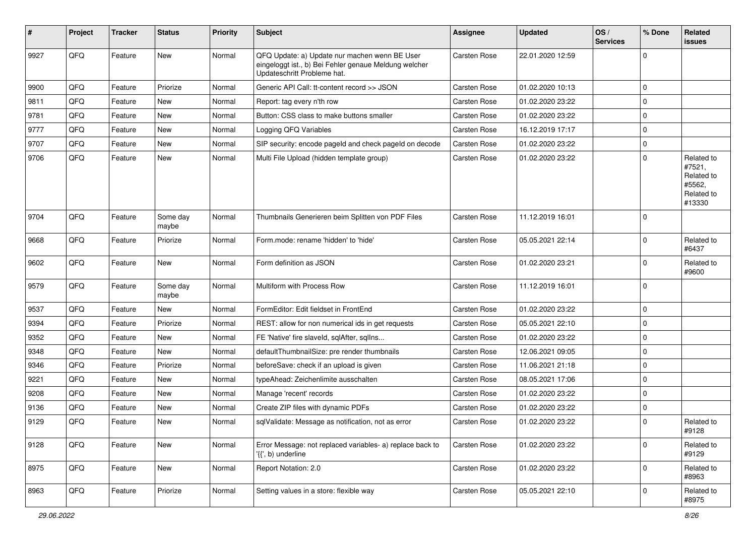| ∦    | Project | <b>Tracker</b> | <b>Status</b>     | <b>Priority</b> | <b>Subject</b>                                                                                                                        | <b>Assignee</b>     | <b>Updated</b>   | OS/<br><b>Services</b> | % Done      | Related<br><b>issues</b>                                             |
|------|---------|----------------|-------------------|-----------------|---------------------------------------------------------------------------------------------------------------------------------------|---------------------|------------------|------------------------|-------------|----------------------------------------------------------------------|
| 9927 | QFQ     | Feature        | New               | Normal          | QFQ Update: a) Update nur machen wenn BE User<br>eingeloggt ist., b) Bei Fehler genaue Meldung welcher<br>Updateschritt Probleme hat. | <b>Carsten Rose</b> | 22.01.2020 12:59 |                        | $\Omega$    |                                                                      |
| 9900 | QFQ     | Feature        | Priorize          | Normal          | Generic API Call: tt-content record >> JSON                                                                                           | <b>Carsten Rose</b> | 01.02.2020 10:13 |                        | $\mathbf 0$ |                                                                      |
| 9811 | QFQ     | Feature        | <b>New</b>        | Normal          | Report: tag every n'th row                                                                                                            | Carsten Rose        | 01.02.2020 23:22 |                        | $\mathbf 0$ |                                                                      |
| 9781 | QFQ     | Feature        | New               | Normal          | Button: CSS class to make buttons smaller                                                                                             | Carsten Rose        | 01.02.2020 23:22 |                        | $\mathbf 0$ |                                                                      |
| 9777 | QFQ     | Feature        | New               | Normal          | Logging QFQ Variables                                                                                                                 | Carsten Rose        | 16.12.2019 17:17 |                        | $\mathbf 0$ |                                                                      |
| 9707 | QFQ     | Feature        | New               | Normal          | SIP security: encode pageld and check pageld on decode                                                                                | Carsten Rose        | 01.02.2020 23:22 |                        | 0           |                                                                      |
| 9706 | QFQ     | Feature        | New               | Normal          | Multi File Upload (hidden template group)                                                                                             | Carsten Rose        | 01.02.2020 23:22 |                        | $\Omega$    | Related to<br>#7521,<br>Related to<br>#5562,<br>Related to<br>#13330 |
| 9704 | QFQ     | Feature        | Some day<br>maybe | Normal          | Thumbnails Generieren beim Splitten von PDF Files                                                                                     | Carsten Rose        | 11.12.2019 16:01 |                        | $\Omega$    |                                                                      |
| 9668 | QFQ     | Feature        | Priorize          | Normal          | Form.mode: rename 'hidden' to 'hide'                                                                                                  | Carsten Rose        | 05.05.2021 22:14 |                        | $\Omega$    | Related to<br>#6437                                                  |
| 9602 | QFQ     | Feature        | New               | Normal          | Form definition as JSON                                                                                                               | Carsten Rose        | 01.02.2020 23:21 |                        | $\Omega$    | Related to<br>#9600                                                  |
| 9579 | QFQ     | Feature        | Some day<br>maybe | Normal          | Multiform with Process Row                                                                                                            | Carsten Rose        | 11.12.2019 16:01 |                        | $\Omega$    |                                                                      |
| 9537 | QFQ     | Feature        | New               | Normal          | FormEditor: Edit fieldset in FrontEnd                                                                                                 | Carsten Rose        | 01.02.2020 23:22 |                        | $\mathbf 0$ |                                                                      |
| 9394 | QFQ     | Feature        | Priorize          | Normal          | REST: allow for non numerical ids in get requests                                                                                     | Carsten Rose        | 05.05.2021 22:10 |                        | 0           |                                                                      |
| 9352 | QFQ     | Feature        | New               | Normal          | FE 'Native' fire slaveld, sqlAfter, sqlIns                                                                                            | Carsten Rose        | 01.02.2020 23:22 |                        | $\mathbf 0$ |                                                                      |
| 9348 | QFQ     | Feature        | New               | Normal          | defaultThumbnailSize: pre render thumbnails                                                                                           | Carsten Rose        | 12.06.2021 09:05 |                        | $\mathbf 0$ |                                                                      |
| 9346 | QFQ     | Feature        | Priorize          | Normal          | beforeSave: check if an upload is given                                                                                               | Carsten Rose        | 11.06.2021 21:18 |                        | $\mathbf 0$ |                                                                      |
| 9221 | QFQ     | Feature        | New               | Normal          | typeAhead: Zeichenlimite ausschalten                                                                                                  | Carsten Rose        | 08.05.2021 17:06 |                        | $\mathbf 0$ |                                                                      |
| 9208 | QFQ     | Feature        | New               | Normal          | Manage 'recent' records                                                                                                               | Carsten Rose        | 01.02.2020 23:22 |                        | 0           |                                                                      |
| 9136 | QFQ     | Feature        | New               | Normal          | Create ZIP files with dynamic PDFs                                                                                                    | Carsten Rose        | 01.02.2020 23:22 |                        | $\Omega$    |                                                                      |
| 9129 | QFQ     | Feature        | New               | Normal          | sqlValidate: Message as notification, not as error                                                                                    | Carsten Rose        | 01.02.2020 23:22 |                        | $\mathbf 0$ | Related to<br>#9128                                                  |
| 9128 | QFO     | Feature        | New               | Normal          | Error Message: not replaced variables- a) replace back to<br>'{{', b) underline                                                       | Carsten Rose        | 01.02.2020 23:22 |                        | $\mathbf 0$ | Related to<br>#9129                                                  |
| 8975 | QFQ     | Feature        | New               | Normal          | Report Notation: 2.0                                                                                                                  | Carsten Rose        | 01.02.2020 23:22 |                        | $\mathbf 0$ | Related to<br>#8963                                                  |
| 8963 | QFO     | Feature        | Priorize          | Normal          | Setting values in a store: flexible way                                                                                               | Carsten Rose        | 05.05.2021 22:10 |                        | 0           | Related to<br>#8975                                                  |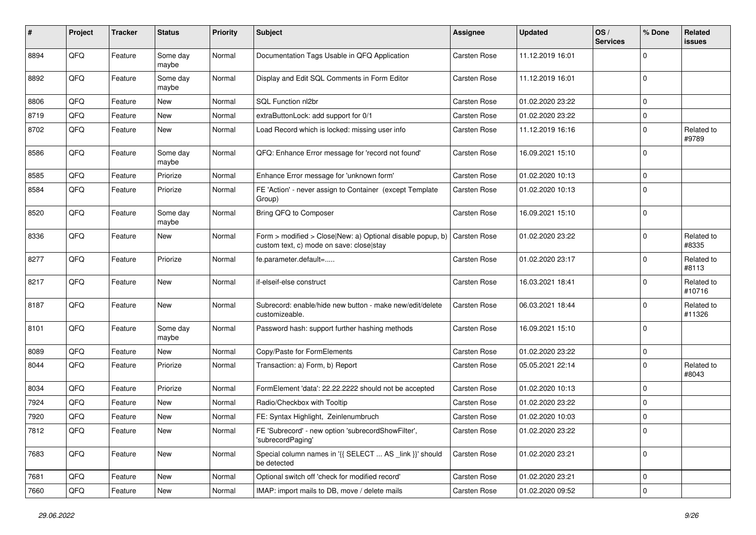| #    | Project | <b>Tracker</b> | <b>Status</b>     | <b>Priority</b> | Subject                                                                                                | <b>Assignee</b> | <b>Updated</b>   | OS/<br><b>Services</b> | % Done      | Related<br>issues    |
|------|---------|----------------|-------------------|-----------------|--------------------------------------------------------------------------------------------------------|-----------------|------------------|------------------------|-------------|----------------------|
| 8894 | QFQ     | Feature        | Some day<br>maybe | Normal          | Documentation Tags Usable in QFQ Application                                                           | Carsten Rose    | 11.12.2019 16:01 |                        | $\Omega$    |                      |
| 8892 | QFQ     | Feature        | Some day<br>maybe | Normal          | Display and Edit SQL Comments in Form Editor                                                           | Carsten Rose    | 11.12.2019 16:01 |                        | $\Omega$    |                      |
| 8806 | QFQ     | Feature        | New               | Normal          | SQL Function nl2br                                                                                     | Carsten Rose    | 01.02.2020 23:22 |                        | $\Omega$    |                      |
| 8719 | QFQ     | Feature        | New               | Normal          | extraButtonLock: add support for 0/1                                                                   | Carsten Rose    | 01.02.2020 23:22 |                        | $\Omega$    |                      |
| 8702 | QFQ     | Feature        | New               | Normal          | Load Record which is locked: missing user info                                                         | Carsten Rose    | 11.12.2019 16:16 |                        | 0           | Related to<br>#9789  |
| 8586 | QFQ     | Feature        | Some day<br>maybe | Normal          | QFQ: Enhance Error message for 'record not found'                                                      | Carsten Rose    | 16.09.2021 15:10 |                        | $\Omega$    |                      |
| 8585 | QFQ     | Feature        | Priorize          | Normal          | Enhance Error message for 'unknown form'                                                               | Carsten Rose    | 01.02.2020 10:13 |                        | $\Omega$    |                      |
| 8584 | QFQ     | Feature        | Priorize          | Normal          | FE 'Action' - never assign to Container (except Template<br>Group)                                     | Carsten Rose    | 01.02.2020 10:13 |                        | $\Omega$    |                      |
| 8520 | QFQ     | Feature        | Some day<br>maybe | Normal          | Bring QFQ to Composer                                                                                  | Carsten Rose    | 16.09.2021 15:10 |                        | 0           |                      |
| 8336 | QFQ     | Feature        | New               | Normal          | Form > modified > Close New: a) Optional disable popup, b)<br>custom text, c) mode on save: close stay | Carsten Rose    | 01.02.2020 23:22 |                        | $\Omega$    | Related to<br>#8335  |
| 8277 | QFQ     | Feature        | Priorize          | Normal          | fe.parameter.default=                                                                                  | Carsten Rose    | 01.02.2020 23:17 |                        | $\mathbf 0$ | Related to<br>#8113  |
| 8217 | QFQ     | Feature        | <b>New</b>        | Normal          | if-elseif-else construct                                                                               | Carsten Rose    | 16.03.2021 18:41 |                        | $\Omega$    | Related to<br>#10716 |
| 8187 | QFQ     | Feature        | New               | Normal          | Subrecord: enable/hide new button - make new/edit/delete<br>customizeable.                             | Carsten Rose    | 06.03.2021 18:44 |                        | $\mathbf 0$ | Related to<br>#11326 |
| 8101 | QFQ     | Feature        | Some day<br>maybe | Normal          | Password hash: support further hashing methods                                                         | Carsten Rose    | 16.09.2021 15:10 |                        | $\Omega$    |                      |
| 8089 | QFQ     | Feature        | New               | Normal          | Copy/Paste for FormElements                                                                            | Carsten Rose    | 01.02.2020 23:22 |                        | 0           |                      |
| 8044 | QFQ     | Feature        | Priorize          | Normal          | Transaction: a) Form, b) Report                                                                        | Carsten Rose    | 05.05.2021 22:14 |                        | $\mathbf 0$ | Related to<br>#8043  |
| 8034 | QFQ     | Feature        | Priorize          | Normal          | FormElement 'data': 22.22.2222 should not be accepted                                                  | Carsten Rose    | 01.02.2020 10:13 |                        | 0           |                      |
| 7924 | QFQ     | Feature        | New               | Normal          | Radio/Checkbox with Tooltip                                                                            | Carsten Rose    | 01.02.2020 23:22 |                        | $\Omega$    |                      |
| 7920 | QFQ     | Feature        | New               | Normal          | FE: Syntax Highlight, Zeinlenumbruch                                                                   | Carsten Rose    | 01.02.2020 10:03 |                        | $\mathbf 0$ |                      |
| 7812 | QFQ     | Feature        | New               | Normal          | FE 'Subrecord' - new option 'subrecordShowFilter',<br>'subrecordPaging'                                | Carsten Rose    | 01.02.2020 23:22 |                        | 0           |                      |
| 7683 | QFQ     | Feature        | New               | Normal          | Special column names in '{{ SELECT  AS _link }}' should<br>be detected                                 | Carsten Rose    | 01.02.2020 23:21 |                        | 0           |                      |
| 7681 | QFQ     | Feature        | New               | Normal          | Optional switch off 'check for modified record'                                                        | Carsten Rose    | 01.02.2020 23:21 |                        | 0           |                      |
| 7660 | QFQ     | Feature        | New               | Normal          | IMAP: import mails to DB, move / delete mails                                                          | Carsten Rose    | 01.02.2020 09:52 |                        | 0           |                      |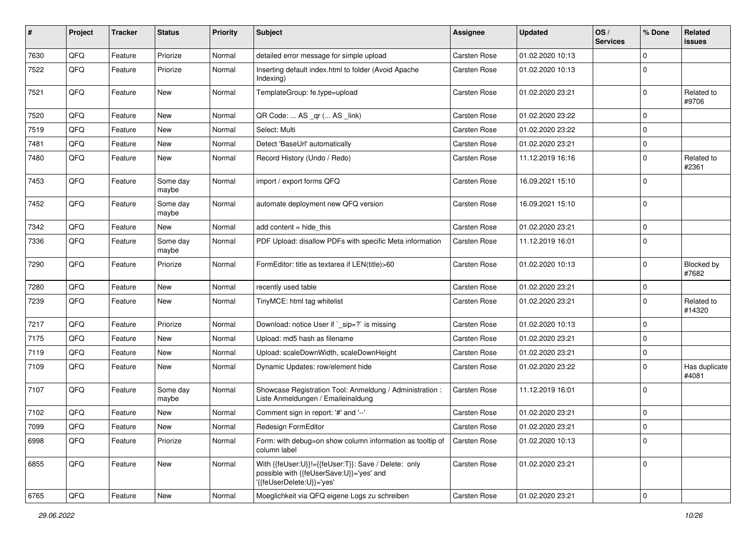| #    | Project | <b>Tracker</b> | <b>Status</b>     | <b>Priority</b> | <b>Subject</b>                                                                                                               | Assignee     | <b>Updated</b>   | OS/<br><b>Services</b> | % Done      | Related<br>issues      |
|------|---------|----------------|-------------------|-----------------|------------------------------------------------------------------------------------------------------------------------------|--------------|------------------|------------------------|-------------|------------------------|
| 7630 | QFQ     | Feature        | Priorize          | Normal          | detailed error message for simple upload                                                                                     | Carsten Rose | 01.02.2020 10:13 |                        | $\mathbf 0$ |                        |
| 7522 | QFQ     | Feature        | Priorize          | Normal          | Inserting default index.html to folder (Avoid Apache<br>Indexing)                                                            | Carsten Rose | 01.02.2020 10:13 |                        | $\Omega$    |                        |
| 7521 | QFQ     | Feature        | New               | Normal          | TemplateGroup: fe.type=upload                                                                                                | Carsten Rose | 01.02.2020 23:21 |                        | 0           | Related to<br>#9706    |
| 7520 | QFQ     | Feature        | New               | Normal          | QR Code:  AS _qr ( AS _link)                                                                                                 | Carsten Rose | 01.02.2020 23:22 |                        | $\Omega$    |                        |
| 7519 | QFQ     | Feature        | New               | Normal          | Select: Multi                                                                                                                | Carsten Rose | 01.02.2020 23:22 |                        | $\mathbf 0$ |                        |
| 7481 | QFQ     | Feature        | New               | Normal          | Detect 'BaseUrl' automatically                                                                                               | Carsten Rose | 01.02.2020 23:21 |                        | 0           |                        |
| 7480 | QFQ     | Feature        | New               | Normal          | Record History (Undo / Redo)                                                                                                 | Carsten Rose | 11.12.2019 16:16 |                        | $\mathbf 0$ | Related to<br>#2361    |
| 7453 | QFQ     | Feature        | Some day<br>maybe | Normal          | import / export forms QFQ                                                                                                    | Carsten Rose | 16.09.2021 15:10 |                        | $\Omega$    |                        |
| 7452 | QFQ     | Feature        | Some day<br>maybe | Normal          | automate deployment new QFQ version                                                                                          | Carsten Rose | 16.09.2021 15:10 |                        | $\Omega$    |                        |
| 7342 | QFQ     | Feature        | New               | Normal          | add content = hide_this                                                                                                      | Carsten Rose | 01.02.2020 23:21 |                        | 0           |                        |
| 7336 | QFQ     | Feature        | Some day<br>maybe | Normal          | PDF Upload: disallow PDFs with specific Meta information                                                                     | Carsten Rose | 11.12.2019 16:01 |                        | $\Omega$    |                        |
| 7290 | QFQ     | Feature        | Priorize          | Normal          | FormEditor: title as textarea if LEN(title)>60                                                                               | Carsten Rose | 01.02.2020 10:13 |                        | 0           | Blocked by<br>#7682    |
| 7280 | QFQ     | Feature        | New               | Normal          | recently used table                                                                                                          | Carsten Rose | 01.02.2020 23:21 |                        | $\mathbf 0$ |                        |
| 7239 | QFQ     | Feature        | New               | Normal          | TinyMCE: html tag whitelist                                                                                                  | Carsten Rose | 01.02.2020 23:21 |                        | $\mathbf 0$ | Related to<br>#14320   |
| 7217 | QFQ     | Feature        | Priorize          | Normal          | Download: notice User if `_sip=?` is missing                                                                                 | Carsten Rose | 01.02.2020 10:13 |                        | $\mathbf 0$ |                        |
| 7175 | QFQ     | Feature        | New               | Normal          | Upload: md5 hash as filename                                                                                                 | Carsten Rose | 01.02.2020 23:21 |                        | $\mathbf 0$ |                        |
| 7119 | QFQ     | Feature        | New               | Normal          | Upload: scaleDownWidth, scaleDownHeight                                                                                      | Carsten Rose | 01.02.2020 23:21 |                        | $\mathbf 0$ |                        |
| 7109 | QFQ     | Feature        | New               | Normal          | Dynamic Updates: row/element hide                                                                                            | Carsten Rose | 01.02.2020 23:22 |                        | 0           | Has duplicate<br>#4081 |
| 7107 | QFQ     | Feature        | Some day<br>maybe | Normal          | Showcase Registration Tool: Anmeldung / Administration :<br>Liste Anmeldungen / Emaileinaldung                               | Carsten Rose | 11.12.2019 16:01 |                        | $\Omega$    |                        |
| 7102 | QFQ     | Feature        | New               | Normal          | Comment sign in report: '#' and '--'                                                                                         | Carsten Rose | 01.02.2020 23:21 |                        | $\mathbf 0$ |                        |
| 7099 | QFQ     | Feature        | New               | Normal          | Redesign FormEditor                                                                                                          | Carsten Rose | 01.02.2020 23:21 |                        | 0           |                        |
| 6998 | QFQ     | Feature        | Priorize          | Normal          | Form: with debug=on show column information as tooltip of<br>column label                                                    | Carsten Rose | 01.02.2020 10:13 |                        | 0           |                        |
| 6855 | QFQ     | Feature        | New               | Normal          | With {{feUser:U}}!={{feUser:T}}: Save / Delete: only<br>possible with {{feUserSave:U}}='yes' and<br>{{feUserDelete:U}}='yes' | Carsten Rose | 01.02.2020 23:21 |                        | 0           |                        |
| 6765 | QFQ     | Feature        | New               | Normal          | Moeglichkeit via QFQ eigene Logs zu schreiben                                                                                | Carsten Rose | 01.02.2020 23:21 |                        | 0           |                        |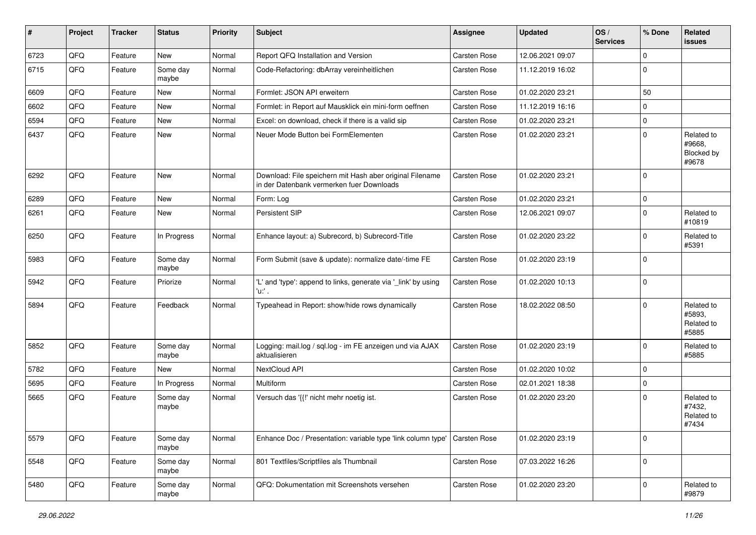| ∦    | Project | <b>Tracker</b> | <b>Status</b>     | <b>Priority</b> | <b>Subject</b>                                                                                        | <b>Assignee</b>     | Updated          | OS/<br><b>Services</b> | % Done      | Related<br>issues                           |
|------|---------|----------------|-------------------|-----------------|-------------------------------------------------------------------------------------------------------|---------------------|------------------|------------------------|-------------|---------------------------------------------|
| 6723 | QFQ     | Feature        | <b>New</b>        | Normal          | Report QFQ Installation and Version                                                                   | Carsten Rose        | 12.06.2021 09:07 |                        | 0           |                                             |
| 6715 | QFQ     | Feature        | Some day<br>maybe | Normal          | Code-Refactoring: dbArray vereinheitlichen                                                            | Carsten Rose        | 11.12.2019 16:02 |                        | $\Omega$    |                                             |
| 6609 | QFQ     | Feature        | <b>New</b>        | Normal          | Formlet: JSON API erweitern                                                                           | Carsten Rose        | 01.02.2020 23:21 |                        | 50          |                                             |
| 6602 | QFQ     | Feature        | New               | Normal          | Formlet: in Report auf Mausklick ein mini-form oeffnen                                                | Carsten Rose        | 11.12.2019 16:16 |                        | $\Omega$    |                                             |
| 6594 | QFQ     | Feature        | New               | Normal          | Excel: on download, check if there is a valid sip                                                     | Carsten Rose        | 01.02.2020 23:21 |                        | $\mathbf 0$ |                                             |
| 6437 | QFQ     | Feature        | <b>New</b>        | Normal          | Neuer Mode Button bei FormElementen                                                                   | Carsten Rose        | 01.02.2020 23:21 |                        | $\Omega$    | Related to<br>#9668,<br>Blocked by<br>#9678 |
| 6292 | QFQ     | Feature        | New               | Normal          | Download: File speichern mit Hash aber original Filename<br>in der Datenbank vermerken fuer Downloads | Carsten Rose        | 01.02.2020 23:21 |                        | $\Omega$    |                                             |
| 6289 | QFQ     | Feature        | <b>New</b>        | Normal          | Form: Log                                                                                             | Carsten Rose        | 01.02.2020 23:21 |                        | $\mathbf 0$ |                                             |
| 6261 | QFQ     | Feature        | New               | Normal          | Persistent SIP                                                                                        | Carsten Rose        | 12.06.2021 09:07 |                        | $\Omega$    | Related to<br>#10819                        |
| 6250 | QFQ     | Feature        | In Progress       | Normal          | Enhance layout: a) Subrecord, b) Subrecord-Title                                                      | Carsten Rose        | 01.02.2020 23:22 |                        | $\Omega$    | Related to<br>#5391                         |
| 5983 | QFQ     | Feature        | Some day<br>maybe | Normal          | Form Submit (save & update): normalize date/-time FE                                                  | Carsten Rose        | 01.02.2020 23:19 |                        | $\Omega$    |                                             |
| 5942 | QFQ     | Feature        | Priorize          | Normal          | 'L' and 'type': append to links, generate via '_link' by using<br>'u:' .                              | Carsten Rose        | 01.02.2020 10:13 |                        | $\Omega$    |                                             |
| 5894 | QFQ     | Feature        | Feedback          | Normal          | Typeahead in Report: show/hide rows dynamically                                                       | Carsten Rose        | 18.02.2022 08:50 |                        | $\Omega$    | Related to<br>#5893.<br>Related to<br>#5885 |
| 5852 | QFQ     | Feature        | Some day<br>maybe | Normal          | Logging: mail.log / sql.log - im FE anzeigen und via AJAX<br>aktualisieren                            | Carsten Rose        | 01.02.2020 23:19 |                        | $\Omega$    | Related to<br>#5885                         |
| 5782 | QFQ     | Feature        | New               | Normal          | NextCloud API                                                                                         | Carsten Rose        | 01.02.2020 10:02 |                        | $\Omega$    |                                             |
| 5695 | QFQ     | Feature        | In Progress       | Normal          | <b>Multiform</b>                                                                                      | Carsten Rose        | 02.01.2021 18:38 |                        | $\Omega$    |                                             |
| 5665 | QFQ     | Feature        | Some day<br>maybe | Normal          | Versuch das '{{!' nicht mehr noetig ist.                                                              | Carsten Rose        | 01.02.2020 23:20 |                        | $\mathbf 0$ | Related to<br>#7432,<br>Related to<br>#7434 |
| 5579 | QFQ     | Feature        | Some day<br>maybe | Normal          | Enhance Doc / Presentation: variable type 'link column type'                                          | <b>Carsten Rose</b> | 01.02.2020 23:19 |                        | $\mathbf 0$ |                                             |
| 5548 | QFQ     | Feature        | Some day<br>maybe | Normal          | 801 Textfiles/Scriptfiles als Thumbnail                                                               | Carsten Rose        | 07.03.2022 16:26 |                        | 0           |                                             |
| 5480 | QFQ     | Feature        | Some day<br>maybe | Normal          | QFQ: Dokumentation mit Screenshots versehen                                                           | Carsten Rose        | 01.02.2020 23:20 |                        | 0           | Related to<br>#9879                         |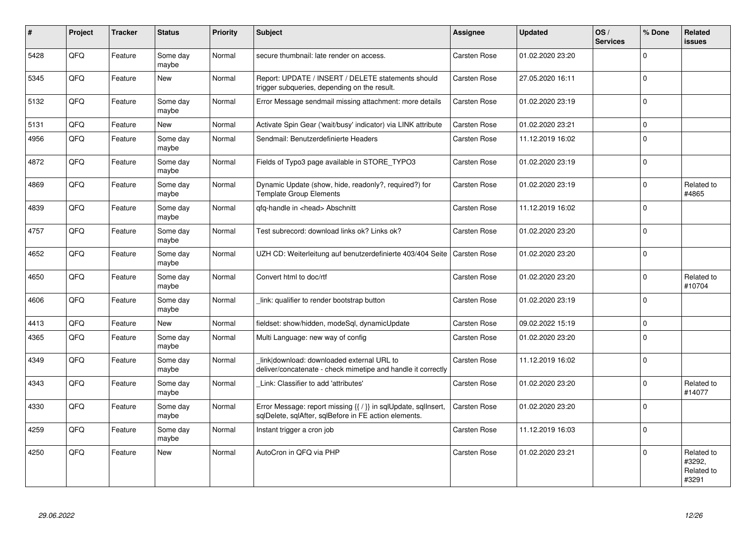| #    | Project | <b>Tracker</b> | <b>Status</b>     | <b>Priority</b> | Subject                                                                                                                 | Assignee            | <b>Updated</b>   | OS/<br><b>Services</b> | % Done      | Related<br><b>issues</b>                    |
|------|---------|----------------|-------------------|-----------------|-------------------------------------------------------------------------------------------------------------------------|---------------------|------------------|------------------------|-------------|---------------------------------------------|
| 5428 | QFQ     | Feature        | Some day<br>maybe | Normal          | secure thumbnail: late render on access.                                                                                | Carsten Rose        | 01.02.2020 23:20 |                        | $\Omega$    |                                             |
| 5345 | QFQ     | Feature        | New               | Normal          | Report: UPDATE / INSERT / DELETE statements should<br>trigger subqueries, depending on the result.                      | Carsten Rose        | 27.05.2020 16:11 |                        | $\Omega$    |                                             |
| 5132 | QFQ     | Feature        | Some day<br>maybe | Normal          | Error Message sendmail missing attachment: more details                                                                 | Carsten Rose        | 01.02.2020 23:19 |                        | $\Omega$    |                                             |
| 5131 | QFQ     | Feature        | New               | Normal          | Activate Spin Gear ('wait/busy' indicator) via LINK attribute                                                           | Carsten Rose        | 01.02.2020 23:21 |                        | $\Omega$    |                                             |
| 4956 | QFQ     | Feature        | Some day<br>maybe | Normal          | Sendmail: Benutzerdefinierte Headers                                                                                    | Carsten Rose        | 11.12.2019 16:02 |                        | $\mathbf 0$ |                                             |
| 4872 | QFQ     | Feature        | Some day<br>maybe | Normal          | Fields of Typo3 page available in STORE_TYPO3                                                                           | Carsten Rose        | 01.02.2020 23:19 |                        | $\Omega$    |                                             |
| 4869 | QFQ     | Feature        | Some day<br>maybe | Normal          | Dynamic Update (show, hide, readonly?, required?) for<br><b>Template Group Elements</b>                                 | Carsten Rose        | 01.02.2020 23:19 |                        | $\Omega$    | Related to<br>#4865                         |
| 4839 | QFQ     | Feature        | Some day<br>maybe | Normal          | qfq-handle in <head> Abschnitt</head>                                                                                   | Carsten Rose        | 11.12.2019 16:02 |                        | $\Omega$    |                                             |
| 4757 | QFQ     | Feature        | Some day<br>maybe | Normal          | Test subrecord: download links ok? Links ok?                                                                            | <b>Carsten Rose</b> | 01.02.2020 23:20 |                        | $\Omega$    |                                             |
| 4652 | QFQ     | Feature        | Some day<br>maybe | Normal          | UZH CD: Weiterleitung auf benutzerdefinierte 403/404 Seite                                                              | <b>Carsten Rose</b> | 01.02.2020 23:20 |                        | $\Omega$    |                                             |
| 4650 | QFQ     | Feature        | Some day<br>maybe | Normal          | Convert html to doc/rtf                                                                                                 | Carsten Rose        | 01.02.2020 23:20 |                        | $\Omega$    | Related to<br>#10704                        |
| 4606 | QFQ     | Feature        | Some day<br>maybe | Normal          | link: qualifier to render bootstrap button                                                                              | Carsten Rose        | 01.02.2020 23:19 |                        | $\mathbf 0$ |                                             |
| 4413 | QFQ     | Feature        | <b>New</b>        | Normal          | fieldset: show/hidden, modeSql, dynamicUpdate                                                                           | Carsten Rose        | 09.02.2022 15:19 |                        | $\mathbf 0$ |                                             |
| 4365 | QFQ     | Feature        | Some day<br>maybe | Normal          | Multi Language: new way of config                                                                                       | Carsten Rose        | 01.02.2020 23:20 |                        | $\mathbf 0$ |                                             |
| 4349 | QFQ     | Feature        | Some day<br>maybe | Normal          | link download: downloaded external URL to<br>deliver/concatenate - check mimetipe and handle it correctly               | Carsten Rose        | 11.12.2019 16:02 |                        | $\mathbf 0$ |                                             |
| 4343 | QFQ     | Feature        | Some day<br>maybe | Normal          | Link: Classifier to add 'attributes'                                                                                    | <b>Carsten Rose</b> | 01.02.2020 23:20 |                        | $\Omega$    | Related to<br>#14077                        |
| 4330 | QFQ     | Feature        | Some day<br>maybe | Normal          | Error Message: report missing {{ / }} in sqlUpdate, sqlInsert,<br>sqlDelete, sqlAfter, sqlBefore in FE action elements. | Carsten Rose        | 01.02.2020 23:20 |                        | $\Omega$    |                                             |
| 4259 | QFQ     | Feature        | Some day<br>maybe | Normal          | Instant trigger a cron job                                                                                              | Carsten Rose        | 11.12.2019 16:03 |                        | $\mathbf 0$ |                                             |
| 4250 | QFQ     | Feature        | <b>New</b>        | Normal          | AutoCron in QFQ via PHP                                                                                                 | Carsten Rose        | 01.02.2020 23:21 |                        | $\Omega$    | Related to<br>#3292,<br>Related to<br>#3291 |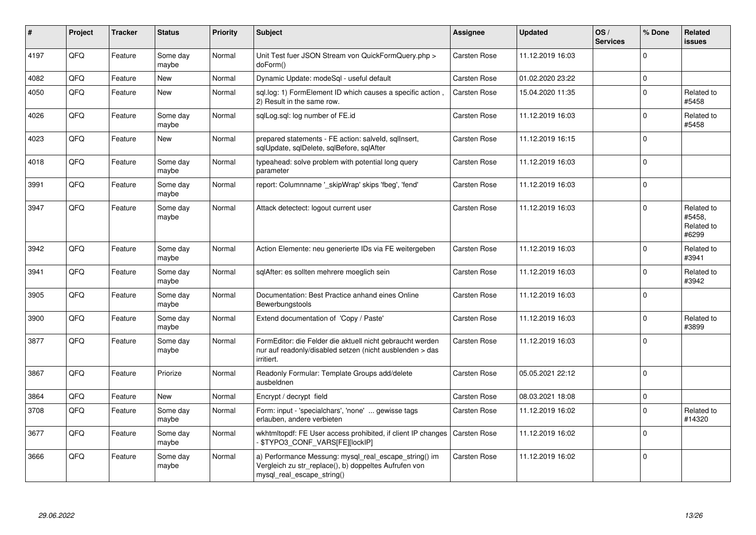| $\vert$ # | Project | <b>Tracker</b> | <b>Status</b>     | <b>Priority</b> | <b>Subject</b>                                                                                                                               | <b>Assignee</b>     | <b>Updated</b>   | OS/<br><b>Services</b> | % Done         | Related<br>issues                           |
|-----------|---------|----------------|-------------------|-----------------|----------------------------------------------------------------------------------------------------------------------------------------------|---------------------|------------------|------------------------|----------------|---------------------------------------------|
| 4197      | QFQ     | Feature        | Some day<br>maybe | Normal          | Unit Test fuer JSON Stream von QuickFormQuery.php ><br>doForm()                                                                              | <b>Carsten Rose</b> | 11.12.2019 16:03 |                        | $\Omega$       |                                             |
| 4082      | QFQ     | Feature        | <b>New</b>        | Normal          | Dynamic Update: modeSql - useful default                                                                                                     | Carsten Rose        | 01.02.2020 23:22 |                        | $\overline{0}$ |                                             |
| 4050      | QFQ     | Feature        | <b>New</b>        | Normal          | sql.log: 1) FormElement ID which causes a specific action<br>2) Result in the same row.                                                      | Carsten Rose        | 15.04.2020 11:35 |                        | $\mathbf 0$    | Related to<br>#5458                         |
| 4026      | QFQ     | Feature        | Some day<br>maybe | Normal          | sqlLog.sql: log number of FE.id                                                                                                              | Carsten Rose        | 11.12.2019 16:03 |                        | $\Omega$       | Related to<br>#5458                         |
| 4023      | QFQ     | Feature        | <b>New</b>        | Normal          | prepared statements - FE action: salveld, sqlInsert,<br>sqlUpdate, sqlDelete, sqlBefore, sqlAfter                                            | Carsten Rose        | 11.12.2019 16:15 |                        | $\mathbf 0$    |                                             |
| 4018      | QFQ     | Feature        | Some day<br>maybe | Normal          | typeahead: solve problem with potential long query<br>parameter                                                                              | Carsten Rose        | 11.12.2019 16:03 |                        | $\Omega$       |                                             |
| 3991      | QFQ     | Feature        | Some day<br>maybe | Normal          | report: Columnname ' skipWrap' skips 'fbeg', 'fend'                                                                                          | <b>Carsten Rose</b> | 11.12.2019 16:03 |                        | $\mathbf 0$    |                                             |
| 3947      | QFQ     | Feature        | Some day<br>maybe | Normal          | Attack detectect: logout current user                                                                                                        | <b>Carsten Rose</b> | 11.12.2019 16:03 |                        | $\Omega$       | Related to<br>#5458.<br>Related to<br>#6299 |
| 3942      | QFQ     | Feature        | Some day<br>maybe | Normal          | Action Elemente: neu generierte IDs via FE weitergeben                                                                                       | <b>Carsten Rose</b> | 11.12.2019 16:03 |                        | $\Omega$       | Related to<br>#3941                         |
| 3941      | QFQ     | Feature        | Some day<br>maybe | Normal          | sqlAfter: es sollten mehrere moeglich sein                                                                                                   | Carsten Rose        | 11.12.2019 16:03 |                        | $\Omega$       | Related to<br>#3942                         |
| 3905      | QFQ     | Feature        | Some day<br>maybe | Normal          | Documentation: Best Practice anhand eines Online<br>Bewerbungstools                                                                          | Carsten Rose        | 11.12.2019 16:03 |                        | $\Omega$       |                                             |
| 3900      | QFQ     | Feature        | Some day<br>maybe | Normal          | Extend documentation of 'Copy / Paste'                                                                                                       | <b>Carsten Rose</b> | 11.12.2019 16:03 |                        | $\Omega$       | Related to<br>#3899                         |
| 3877      | QFQ     | Feature        | Some day<br>maybe | Normal          | FormEditor: die Felder die aktuell nicht gebraucht werden<br>nur auf readonly/disabled setzen (nicht ausblenden > das<br>irritiert.          | Carsten Rose        | 11.12.2019 16:03 |                        | $\Omega$       |                                             |
| 3867      | QFQ     | Feature        | Priorize          | Normal          | Readonly Formular: Template Groups add/delete<br>ausbeldnen                                                                                  | Carsten Rose        | 05.05.2021 22:12 |                        | $\Omega$       |                                             |
| 3864      | QFQ     | Feature        | <b>New</b>        | Normal          | Encrypt / decrypt field                                                                                                                      | Carsten Rose        | 08.03.2021 18:08 |                        | $\Omega$       |                                             |
| 3708      | QFQ     | Feature        | Some day<br>maybe | Normal          | Form: input - 'specialchars', 'none'  gewisse tags<br>erlauben, andere verbieten                                                             | Carsten Rose        | 11.12.2019 16:02 |                        | $\Omega$       | Related to<br>#14320                        |
| 3677      | QFQ     | Feature        | Some day<br>maybe | Normal          | wkhtmltopdf: FE User access prohibited, if client IP changes   Carsten Rose<br>- \$TYPO3_CONF_VARS[FE][lockIP]                               |                     | 11.12.2019 16:02 |                        | $\Omega$       |                                             |
| 3666      | QFQ     | Feature        | Some day<br>maybe | Normal          | a) Performance Messung: mysql_real_escape_string() im<br>Vergleich zu str_replace(), b) doppeltes Aufrufen von<br>mysql_real_escape_string() | <b>Carsten Rose</b> | 11.12.2019 16:02 |                        | 0              |                                             |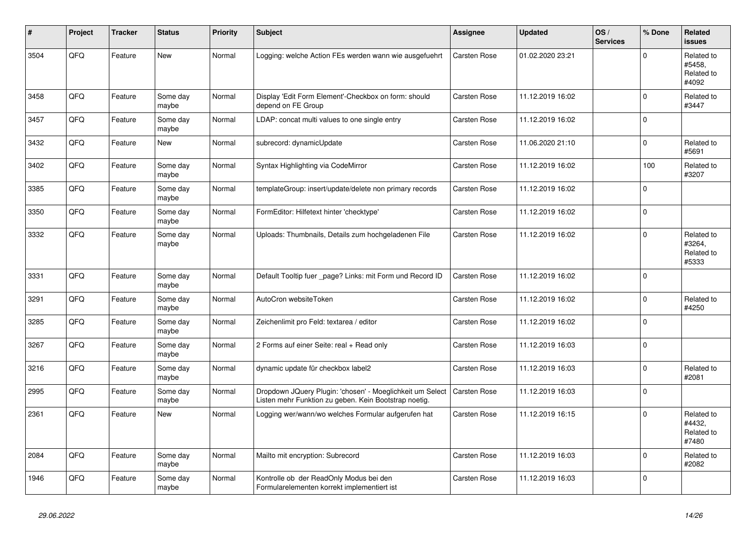| #    | Project | <b>Tracker</b> | <b>Status</b>     | <b>Priority</b> | <b>Subject</b>                                                                                                     | <b>Assignee</b>     | <b>Updated</b>   | OS/<br><b>Services</b> | % Done      | Related<br>issues                           |
|------|---------|----------------|-------------------|-----------------|--------------------------------------------------------------------------------------------------------------------|---------------------|------------------|------------------------|-------------|---------------------------------------------|
| 3504 | QFQ     | Feature        | New               | Normal          | Logging: welche Action FEs werden wann wie ausgefuehrt                                                             | Carsten Rose        | 01.02.2020 23:21 |                        | $\Omega$    | Related to<br>#5458,<br>Related to<br>#4092 |
| 3458 | QFQ     | Feature        | Some day<br>maybe | Normal          | Display 'Edit Form Element'-Checkbox on form: should<br>depend on FE Group                                         | <b>Carsten Rose</b> | 11.12.2019 16:02 |                        | $\Omega$    | Related to<br>#3447                         |
| 3457 | QFQ     | Feature        | Some day<br>maybe | Normal          | LDAP: concat multi values to one single entry                                                                      | Carsten Rose        | 11.12.2019 16:02 |                        | $\mathbf 0$ |                                             |
| 3432 | QFQ     | Feature        | New               | Normal          | subrecord: dynamicUpdate                                                                                           | Carsten Rose        | 11.06.2020 21:10 |                        | $\mathbf 0$ | Related to<br>#5691                         |
| 3402 | QFQ     | Feature        | Some day<br>maybe | Normal          | Syntax Highlighting via CodeMirror                                                                                 | Carsten Rose        | 11.12.2019 16:02 |                        | 100         | Related to<br>#3207                         |
| 3385 | QFQ     | Feature        | Some day<br>maybe | Normal          | templateGroup: insert/update/delete non primary records                                                            | Carsten Rose        | 11.12.2019 16:02 |                        | 0           |                                             |
| 3350 | QFQ     | Feature        | Some day<br>maybe | Normal          | FormEditor: Hilfetext hinter 'checktype'                                                                           | Carsten Rose        | 11.12.2019 16:02 |                        | $\mathbf 0$ |                                             |
| 3332 | QFQ     | Feature        | Some day<br>maybe | Normal          | Uploads: Thumbnails, Details zum hochgeladenen File                                                                | Carsten Rose        | 11.12.2019 16:02 |                        | $\Omega$    | Related to<br>#3264,<br>Related to<br>#5333 |
| 3331 | QFQ     | Feature        | Some day<br>maybe | Normal          | Default Tooltip fuer _page? Links: mit Form und Record ID                                                          | Carsten Rose        | 11.12.2019 16:02 |                        | $\Omega$    |                                             |
| 3291 | QFQ     | Feature        | Some day<br>maybe | Normal          | AutoCron websiteToken                                                                                              | Carsten Rose        | 11.12.2019 16:02 |                        | $\pmb{0}$   | Related to<br>#4250                         |
| 3285 | QFQ     | Feature        | Some day<br>maybe | Normal          | Zeichenlimit pro Feld: textarea / editor                                                                           | <b>Carsten Rose</b> | 11.12.2019 16:02 |                        | $\mathbf 0$ |                                             |
| 3267 | QFQ     | Feature        | Some day<br>maybe | Normal          | 2 Forms auf einer Seite: real + Read only                                                                          | Carsten Rose        | 11.12.2019 16:03 |                        | $\mathbf 0$ |                                             |
| 3216 | QFQ     | Feature        | Some day<br>maybe | Normal          | dynamic update für checkbox label2                                                                                 | Carsten Rose        | 11.12.2019 16:03 |                        | $\Omega$    | Related to<br>#2081                         |
| 2995 | QFQ     | Feature        | Some day<br>maybe | Normal          | Dropdown JQuery Plugin: 'chosen' - Moeglichkeit um Select<br>Listen mehr Funktion zu geben. Kein Bootstrap noetig. | Carsten Rose        | 11.12.2019 16:03 |                        | $\mathbf 0$ |                                             |
| 2361 | QFQ     | Feature        | New               | Normal          | Logging wer/wann/wo welches Formular aufgerufen hat                                                                | <b>Carsten Rose</b> | 11.12.2019 16:15 |                        | $\Omega$    | Related to<br>#4432.<br>Related to<br>#7480 |
| 2084 | QFQ     | Feature        | Some day<br>maybe | Normal          | Mailto mit encryption: Subrecord                                                                                   | <b>Carsten Rose</b> | 11.12.2019 16:03 |                        | $\Omega$    | Related to<br>#2082                         |
| 1946 | QFQ     | Feature        | Some day<br>maybe | Normal          | Kontrolle ob der ReadOnly Modus bei den<br>Formularelementen korrekt implementiert ist                             | Carsten Rose        | 11.12.2019 16:03 |                        | $\Omega$    |                                             |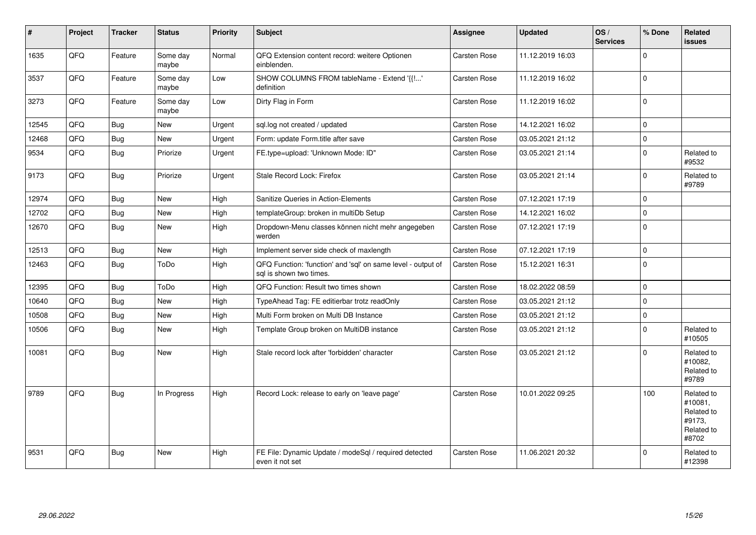| #     | Project | <b>Tracker</b> | <b>Status</b>     | <b>Priority</b> | <b>Subject</b>                                                                          | Assignee     | Updated          | OS/<br><b>Services</b> | % Done      | Related<br><b>issues</b>                                             |
|-------|---------|----------------|-------------------|-----------------|-----------------------------------------------------------------------------------------|--------------|------------------|------------------------|-------------|----------------------------------------------------------------------|
| 1635  | QFQ     | Feature        | Some day<br>maybe | Normal          | QFQ Extension content record: weitere Optionen<br>einblenden.                           | Carsten Rose | 11.12.2019 16:03 |                        | $\Omega$    |                                                                      |
| 3537  | QFQ     | Feature        | Some day<br>maybe | Low             | SHOW COLUMNS FROM tableName - Extend '{{!'<br>definition                                | Carsten Rose | 11.12.2019 16:02 |                        | $\Omega$    |                                                                      |
| 3273  | QFQ     | Feature        | Some day<br>maybe | Low             | Dirty Flag in Form                                                                      | Carsten Rose | 11.12.2019 16:02 |                        | $\Omega$    |                                                                      |
| 12545 | QFQ     | <b>Bug</b>     | <b>New</b>        | Urgent          | sql.log not created / updated                                                           | Carsten Rose | 14.12.2021 16:02 |                        | $\Omega$    |                                                                      |
| 12468 | QFQ     | <b>Bug</b>     | New               | Urgent          | Form: update Form.title after save                                                      | Carsten Rose | 03.05.2021 21:12 |                        | $\Omega$    |                                                                      |
| 9534  | QFQ     | Bug            | Priorize          | Urgent          | FE.type=upload: 'Unknown Mode: ID"                                                      | Carsten Rose | 03.05.2021 21:14 |                        | 0           | Related to<br>#9532                                                  |
| 9173  | QFQ     | <b>Bug</b>     | Priorize          | Urgent          | Stale Record Lock: Firefox                                                              | Carsten Rose | 03.05.2021 21:14 |                        | $\Omega$    | Related to<br>#9789                                                  |
| 12974 | QFQ     | Bug            | New               | High            | Sanitize Queries in Action-Elements                                                     | Carsten Rose | 07.12.2021 17:19 |                        | $\Omega$    |                                                                      |
| 12702 | QFQ     | <b>Bug</b>     | <b>New</b>        | High            | templateGroup: broken in multiDb Setup                                                  | Carsten Rose | 14.12.2021 16:02 |                        | $\Omega$    |                                                                      |
| 12670 | QFQ     | <b>Bug</b>     | <b>New</b>        | High            | Dropdown-Menu classes können nicht mehr angegeben<br>werden                             | Carsten Rose | 07.12.2021 17:19 |                        | $\Omega$    |                                                                      |
| 12513 | QFQ     | <b>Bug</b>     | <b>New</b>        | High            | Implement server side check of maxlength                                                | Carsten Rose | 07.12.2021 17:19 |                        | $\Omega$    |                                                                      |
| 12463 | QFQ     | <b>Bug</b>     | ToDo              | High            | QFQ Function: 'function' and 'sql' on same level - output of<br>sql is shown two times. | Carsten Rose | 15.12.2021 16:31 |                        | $\Omega$    |                                                                      |
| 12395 | QFQ     | <b>Bug</b>     | ToDo              | High            | QFQ Function: Result two times shown                                                    | Carsten Rose | 18.02.2022 08:59 |                        | $\Omega$    |                                                                      |
| 10640 | QFQ     | <b>Bug</b>     | <b>New</b>        | High            | TypeAhead Tag: FE editierbar trotz readOnly                                             | Carsten Rose | 03.05.2021 21:12 |                        | 0           |                                                                      |
| 10508 | QFQ     | <b>Bug</b>     | New               | High            | Multi Form broken on Multi DB Instance                                                  | Carsten Rose | 03.05.2021 21:12 |                        | $\mathbf 0$ |                                                                      |
| 10506 | QFQ     | Bug            | New               | High            | Template Group broken on MultiDB instance                                               | Carsten Rose | 03.05.2021 21:12 |                        | $\mathbf 0$ | Related to<br>#10505                                                 |
| 10081 | QFQ     | <b>Bug</b>     | New               | High            | Stale record lock after 'forbidden' character                                           | Carsten Rose | 03.05.2021 21:12 |                        | $\Omega$    | Related to<br>#10082,<br>Related to<br>#9789                         |
| 9789  | QFQ     | <b>Bug</b>     | In Progress       | High            | Record Lock: release to early on 'leave page'                                           | Carsten Rose | 10.01.2022 09:25 |                        | 100         | Related to<br>#10081,<br>Related to<br>#9173,<br>Related to<br>#8702 |
| 9531  | QFQ     | Bug            | <b>New</b>        | High            | FE File: Dynamic Update / modeSql / required detected<br>even it not set                | Carsten Rose | 11.06.2021 20:32 |                        | $\Omega$    | Related to<br>#12398                                                 |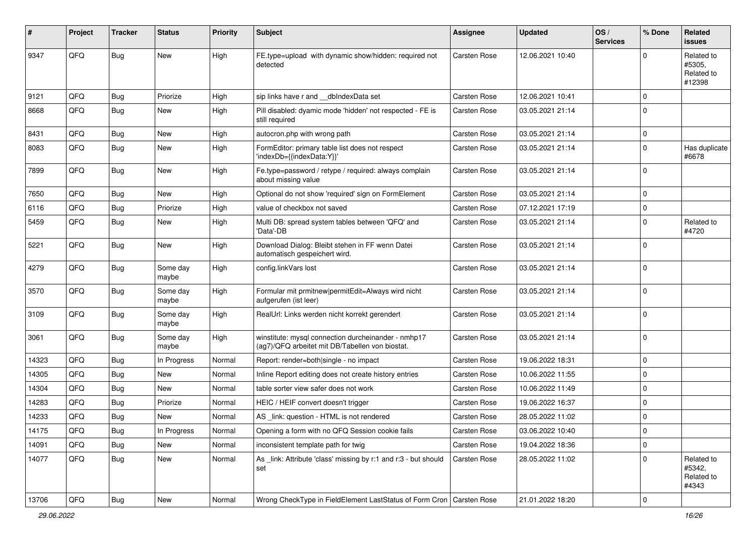| $\sharp$ | Project | <b>Tracker</b> | <b>Status</b>     | <b>Priority</b> | Subject                                                                                                | Assignee     | <b>Updated</b>   | OS/<br><b>Services</b> | % Done      | Related<br><b>issues</b>                     |
|----------|---------|----------------|-------------------|-----------------|--------------------------------------------------------------------------------------------------------|--------------|------------------|------------------------|-------------|----------------------------------------------|
| 9347     | QFQ     | Bug            | New               | High            | FE.type=upload with dynamic show/hidden: required not<br>detected                                      | Carsten Rose | 12.06.2021 10:40 |                        | $\Omega$    | Related to<br>#5305,<br>Related to<br>#12398 |
| 9121     | QFQ     | Bug            | Priorize          | High            | sip links have r and __dblndexData set                                                                 | Carsten Rose | 12.06.2021 10:41 |                        | $\mathbf 0$ |                                              |
| 8668     | QFQ     | Bug            | New               | High            | Pill disabled: dyamic mode 'hidden' not respected - FE is<br>still required                            | Carsten Rose | 03.05.2021 21:14 |                        | $\mathbf 0$ |                                              |
| 8431     | QFQ     | Bug            | New               | High            | autocron.php with wrong path                                                                           | Carsten Rose | 03.05.2021 21:14 |                        | $\mathbf 0$ |                                              |
| 8083     | QFQ     | <b>Bug</b>     | New               | High            | FormEditor: primary table list does not respect<br>'indexDb={{indexData:Y}}'                           | Carsten Rose | 03.05.2021 21:14 |                        | $\mathbf 0$ | Has duplicate<br>#6678                       |
| 7899     | QFQ     | Bug            | New               | High            | Fe.type=password / retype / required: always complain<br>about missing value                           | Carsten Rose | 03.05.2021 21:14 |                        | $\Omega$    |                                              |
| 7650     | QFQ     | Bug            | <b>New</b>        | High            | Optional do not show 'required' sign on FormElement                                                    | Carsten Rose | 03.05.2021 21:14 |                        | $\Omega$    |                                              |
| 6116     | QFQ     | Bug            | Priorize          | High            | value of checkbox not saved                                                                            | Carsten Rose | 07.12.2021 17:19 |                        | $\mathbf 0$ |                                              |
| 5459     | QFQ     | Bug            | New               | High            | Multi DB: spread system tables between 'QFQ' and<br>'Data'-DB                                          | Carsten Rose | 03.05.2021 21:14 |                        | $\Omega$    | Related to<br>#4720                          |
| 5221     | QFQ     | Bug            | New               | High            | Download Dialog: Bleibt stehen in FF wenn Datei<br>automatisch gespeichert wird.                       | Carsten Rose | 03.05.2021 21:14 |                        | $\Omega$    |                                              |
| 4279     | QFQ     | <b>Bug</b>     | Some day<br>maybe | High            | config.linkVars lost                                                                                   | Carsten Rose | 03.05.2021 21:14 |                        | $\Omega$    |                                              |
| 3570     | QFQ     | Bug            | Some day<br>maybe | High            | Formular mit prmitnew permitEdit=Always wird nicht<br>aufgerufen (ist leer)                            | Carsten Rose | 03.05.2021 21:14 |                        | $\mathbf 0$ |                                              |
| 3109     | QFQ     | Bug            | Some day<br>maybe | High            | RealUrl: Links werden nicht korrekt gerendert                                                          | Carsten Rose | 03.05.2021 21:14 |                        | $\mathbf 0$ |                                              |
| 3061     | QFQ     | <b>Bug</b>     | Some day<br>maybe | High            | winstitute: mysql connection durcheinander - nmhp17<br>(ag7)/QFQ arbeitet mit DB/Tabellen von biostat. | Carsten Rose | 03.05.2021 21:14 |                        | $\mathbf 0$ |                                              |
| 14323    | QFQ     | <b>Bug</b>     | In Progress       | Normal          | Report: render=both single - no impact                                                                 | Carsten Rose | 19.06.2022 18:31 |                        | $\mathbf 0$ |                                              |
| 14305    | QFQ     | Bug            | New               | Normal          | Inline Report editing does not create history entries                                                  | Carsten Rose | 10.06.2022 11:55 |                        | $\mathbf 0$ |                                              |
| 14304    | QFQ     | <b>Bug</b>     | <b>New</b>        | Normal          | table sorter view safer does not work                                                                  | Carsten Rose | 10.06.2022 11:49 |                        | $\mathbf 0$ |                                              |
| 14283    | QFQ     | Bug            | Priorize          | Normal          | HEIC / HEIF convert doesn't trigger                                                                    | Carsten Rose | 19.06.2022 16:37 |                        | $\mathbf 0$ |                                              |
| 14233    | QFQ     | <b>Bug</b>     | New               | Normal          | AS _link: question - HTML is not rendered                                                              | Carsten Rose | 28.05.2022 11:02 |                        | $\mathbf 0$ |                                              |
| 14175    | QFQ     | Bug            | In Progress       | Normal          | Opening a form with no QFQ Session cookie fails                                                        | Carsten Rose | 03.06.2022 10:40 |                        | 0           |                                              |
| 14091    | QFQ     | <b>Bug</b>     | <b>New</b>        | Normal          | inconsistent template path for twig                                                                    | Carsten Rose | 19.04.2022 18:36 |                        | $\mathbf 0$ |                                              |
| 14077    | QFQ     | <b>Bug</b>     | New               | Normal          | As link: Attribute 'class' missing by r:1 and r:3 - but should<br>set                                  | Carsten Rose | 28.05.2022 11:02 |                        | 0           | Related to<br>#5342,<br>Related to<br>#4343  |
| 13706    | QFG     | <b>Bug</b>     | New               | Normal          | Wrong CheckType in FieldElement LastStatus of Form Cron   Carsten Rose                                 |              | 21.01.2022 18:20 |                        | $\mathbf 0$ |                                              |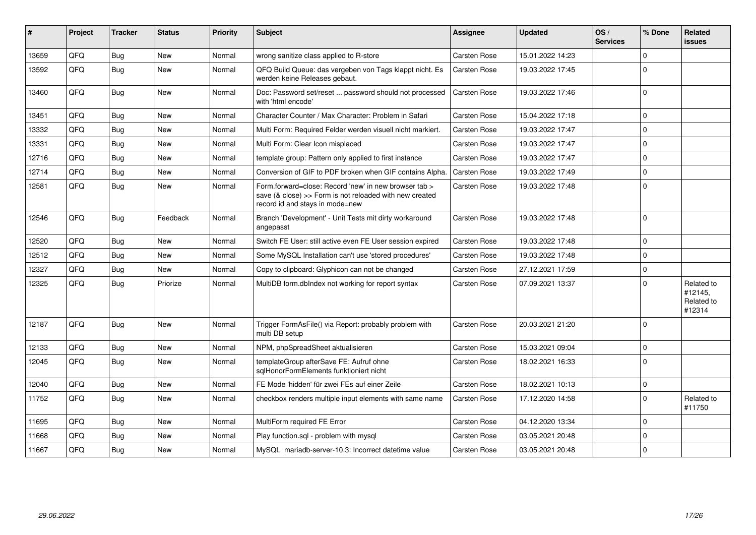| #     | Project | <b>Tracker</b> | <b>Status</b> | <b>Priority</b> | <b>Subject</b>                                                                                                                                      | <b>Assignee</b>     | <b>Updated</b>   | OS/<br><b>Services</b> | % Done      | Related<br><b>issues</b>                      |
|-------|---------|----------------|---------------|-----------------|-----------------------------------------------------------------------------------------------------------------------------------------------------|---------------------|------------------|------------------------|-------------|-----------------------------------------------|
| 13659 | QFQ     | <b>Bug</b>     | <b>New</b>    | Normal          | wrong sanitize class applied to R-store                                                                                                             | <b>Carsten Rose</b> | 15.01.2022 14:23 |                        | $\Omega$    |                                               |
| 13592 | QFQ     | <b>Bug</b>     | <b>New</b>    | Normal          | QFQ Build Queue: das vergeben von Tags klappt nicht. Es<br>werden keine Releases gebaut.                                                            | Carsten Rose        | 19.03.2022 17:45 |                        | $\Omega$    |                                               |
| 13460 | QFQ     | Bug            | <b>New</b>    | Normal          | Doc: Password set/reset  password should not processed<br>with 'html encode'                                                                        | <b>Carsten Rose</b> | 19.03.2022 17:46 |                        | $\mathbf 0$ |                                               |
| 13451 | QFQ     | <b>Bug</b>     | <b>New</b>    | Normal          | Character Counter / Max Character: Problem in Safari                                                                                                | <b>Carsten Rose</b> | 15.04.2022 17:18 |                        | $\mathbf 0$ |                                               |
| 13332 | QFQ     | <b>Bug</b>     | <b>New</b>    | Normal          | Multi Form: Required Felder werden visuell nicht markiert.                                                                                          | Carsten Rose        | 19.03.2022 17:47 |                        | $\Omega$    |                                               |
| 13331 | QFQ     | <b>Bug</b>     | <b>New</b>    | Normal          | Multi Form: Clear Icon misplaced                                                                                                                    | Carsten Rose        | 19.03.2022 17:47 |                        | $\Omega$    |                                               |
| 12716 | QFQ     | <b>Bug</b>     | <b>New</b>    | Normal          | template group: Pattern only applied to first instance                                                                                              | <b>Carsten Rose</b> | 19.03.2022 17:47 |                        | $\Omega$    |                                               |
| 12714 | QFQ     | <b>Bug</b>     | <b>New</b>    | Normal          | Conversion of GIF to PDF broken when GIF contains Alpha.                                                                                            | <b>Carsten Rose</b> | 19.03.2022 17:49 |                        | $\mathbf 0$ |                                               |
| 12581 | QFQ     | <b>Bug</b>     | <b>New</b>    | Normal          | Form.forward=close: Record 'new' in new browser tab ><br>save (& close) >> Form is not reloaded with new created<br>record id and stays in mode=new | <b>Carsten Rose</b> | 19.03.2022 17:48 |                        | $\Omega$    |                                               |
| 12546 | QFQ     | <b>Bug</b>     | Feedback      | Normal          | Branch 'Development' - Unit Tests mit dirty workaround<br>angepasst                                                                                 | <b>Carsten Rose</b> | 19.03.2022 17:48 |                        | $\mathbf 0$ |                                               |
| 12520 | QFQ     | <b>Bug</b>     | <b>New</b>    | Normal          | Switch FE User: still active even FE User session expired                                                                                           | Carsten Rose        | 19.03.2022 17:48 |                        | $\mathbf 0$ |                                               |
| 12512 | QFQ     | <b>Bug</b>     | <b>New</b>    | Normal          | Some MySQL Installation can't use 'stored procedures'                                                                                               | Carsten Rose        | 19.03.2022 17:48 |                        | $\Omega$    |                                               |
| 12327 | QFQ     | <b>Bug</b>     | <b>New</b>    | Normal          | Copy to clipboard: Glyphicon can not be changed                                                                                                     | Carsten Rose        | 27.12.2021 17:59 |                        | $\mathbf 0$ |                                               |
| 12325 | QFQ     | Bug            | Priorize      | Normal          | MultiDB form.dblndex not working for report syntax                                                                                                  | <b>Carsten Rose</b> | 07.09.2021 13:37 |                        | $\Omega$    | Related to<br>#12145,<br>Related to<br>#12314 |
| 12187 | QFQ     | <b>Bug</b>     | <b>New</b>    | Normal          | Trigger FormAsFile() via Report: probably problem with<br>multi DB setup                                                                            | Carsten Rose        | 20.03.2021 21:20 |                        | $\Omega$    |                                               |
| 12133 | QFQ     | Bug            | <b>New</b>    | Normal          | NPM, phpSpreadSheet aktualisieren                                                                                                                   | Carsten Rose        | 15.03.2021 09:04 |                        | $\mathbf 0$ |                                               |
| 12045 | QFQ     | <b>Bug</b>     | <b>New</b>    | Normal          | templateGroup afterSave FE: Aufruf ohne<br>sqlHonorFormElements funktioniert nicht                                                                  | Carsten Rose        | 18.02.2021 16:33 |                        | 0           |                                               |
| 12040 | QFQ     | <b>Bug</b>     | <b>New</b>    | Normal          | FE Mode 'hidden' für zwei FEs auf einer Zeile                                                                                                       | <b>Carsten Rose</b> | 18.02.2021 10:13 |                        | $\mathbf 0$ |                                               |
| 11752 | QFQ     | Bug            | New           | Normal          | checkbox renders multiple input elements with same name                                                                                             | Carsten Rose        | 17.12.2020 14:58 |                        | $\Omega$    | Related to<br>#11750                          |
| 11695 | QFQ     | <b>Bug</b>     | New           | Normal          | MultiForm required FE Error                                                                                                                         | <b>Carsten Rose</b> | 04.12.2020 13:34 |                        | $\mathbf 0$ |                                               |
| 11668 | QFQ     | <b>Bug</b>     | <b>New</b>    | Normal          | Play function.sgl - problem with mysgl                                                                                                              | Carsten Rose        | 03.05.2021 20:48 |                        | $\mathbf 0$ |                                               |
| 11667 | QFQ     | <b>Bug</b>     | <b>New</b>    | Normal          | MySQL mariadb-server-10.3: Incorrect datetime value                                                                                                 | Carsten Rose        | 03.05.2021 20:48 |                        | $\Omega$    |                                               |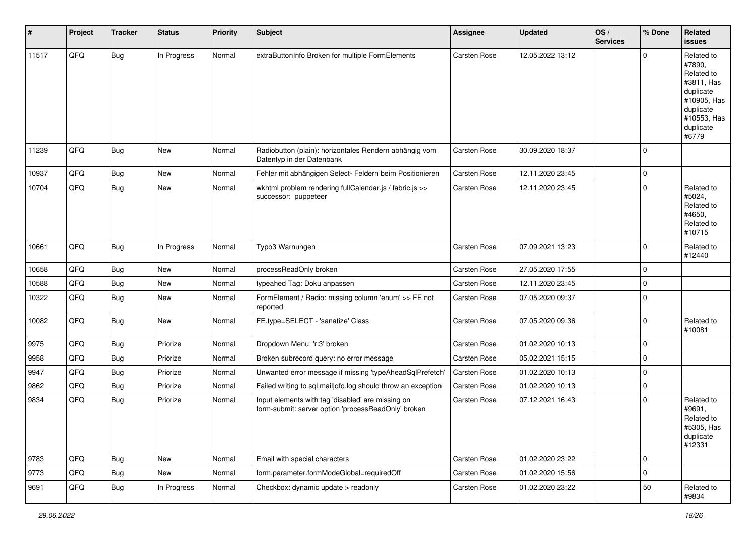| #     | Project | <b>Tracker</b> | <b>Status</b> | <b>Priority</b> | <b>Subject</b>                                                                                           | <b>Assignee</b> | <b>Updated</b>   | OS/<br><b>Services</b> | % Done      | Related<br><b>issues</b>                                                                                                       |
|-------|---------|----------------|---------------|-----------------|----------------------------------------------------------------------------------------------------------|-----------------|------------------|------------------------|-------------|--------------------------------------------------------------------------------------------------------------------------------|
| 11517 | QFQ     | <b>Bug</b>     | In Progress   | Normal          | extraButtonInfo Broken for multiple FormElements                                                         | Carsten Rose    | 12.05.2022 13:12 |                        | $\Omega$    | Related to<br>#7890,<br>Related to<br>#3811, Has<br>duplicate<br>#10905, Has<br>duplicate<br>#10553, Has<br>duplicate<br>#6779 |
| 11239 | QFQ     | <b>Bug</b>     | New           | Normal          | Radiobutton (plain): horizontales Rendern abhängig vom<br>Datentyp in der Datenbank                      | Carsten Rose    | 30.09.2020 18:37 |                        | $\Omega$    |                                                                                                                                |
| 10937 | QFQ     | <b>Bug</b>     | New           | Normal          | Fehler mit abhängigen Select- Feldern beim Positionieren                                                 | Carsten Rose    | 12.11.2020 23:45 |                        | 0           |                                                                                                                                |
| 10704 | QFQ     | <b>Bug</b>     | New           | Normal          | wkhtml problem rendering fullCalendar.js / fabric.js >><br>successor: puppeteer                          | Carsten Rose    | 12.11.2020 23:45 |                        | $\Omega$    | Related to<br>#5024,<br>Related to<br>#4650,<br>Related to<br>#10715                                                           |
| 10661 | QFQ     | <b>Bug</b>     | In Progress   | Normal          | Typo3 Warnungen                                                                                          | Carsten Rose    | 07.09.2021 13:23 |                        | $\Omega$    | Related to<br>#12440                                                                                                           |
| 10658 | QFQ     | Bug            | New           | Normal          | processReadOnly broken                                                                                   | Carsten Rose    | 27.05.2020 17:55 |                        | $\Omega$    |                                                                                                                                |
| 10588 | QFQ     | Bug            | New           | Normal          | typeahed Tag: Doku anpassen                                                                              | Carsten Rose    | 12.11.2020 23:45 |                        | $\Omega$    |                                                                                                                                |
| 10322 | QFQ     | Bug            | New           | Normal          | FormElement / Radio: missing column 'enum' >> FE not<br>reported                                         | Carsten Rose    | 07.05.2020 09:37 |                        | $\Omega$    |                                                                                                                                |
| 10082 | QFQ     | <b>Bug</b>     | New           | Normal          | FE.type=SELECT - 'sanatize' Class                                                                        | Carsten Rose    | 07.05.2020 09:36 |                        | $\Omega$    | Related to<br>#10081                                                                                                           |
| 9975  | QFQ     | <b>Bug</b>     | Priorize      | Normal          | Dropdown Menu: 'r:3' broken                                                                              | Carsten Rose    | 01.02.2020 10:13 |                        | 0           |                                                                                                                                |
| 9958  | QFQ     | <b>Bug</b>     | Priorize      | Normal          | Broken subrecord query: no error message                                                                 | Carsten Rose    | 05.02.2021 15:15 |                        | $\Omega$    |                                                                                                                                |
| 9947  | QFQ     | Bug            | Priorize      | Normal          | Unwanted error message if missing 'typeAheadSqlPrefetch'                                                 | Carsten Rose    | 01.02.2020 10:13 |                        | $\mathbf 0$ |                                                                                                                                |
| 9862  | QFQ     | <b>Bug</b>     | Priorize      | Normal          | Failed writing to sql mail qfq.log should throw an exception                                             | Carsten Rose    | 01.02.2020 10:13 |                        | $\Omega$    |                                                                                                                                |
| 9834  | QFQ     | <b>Bug</b>     | Priorize      | Normal          | Input elements with tag 'disabled' are missing on<br>form-submit: server option 'processReadOnly' broken | Carsten Rose    | 07.12.2021 16:43 |                        | $\Omega$    | Related to<br>#9691,<br>Related to<br>#5305, Has<br>duplicate<br>#12331                                                        |
| 9783  | QFQ     | Bug            | New           | Normal          | Email with special characters                                                                            | Carsten Rose    | 01.02.2020 23:22 |                        | $\mathbf 0$ |                                                                                                                                |
| 9773  | QFQ     | <b>Bug</b>     | New           | Normal          | form.parameter.formModeGlobal=requiredOff                                                                | Carsten Rose    | 01.02.2020 15:56 |                        | 0           |                                                                                                                                |
| 9691  | QFQ     | <b>Bug</b>     | In Progress   | Normal          | Checkbox: dynamic update > readonly                                                                      | Carsten Rose    | 01.02.2020 23:22 |                        | 50          | Related to<br>#9834                                                                                                            |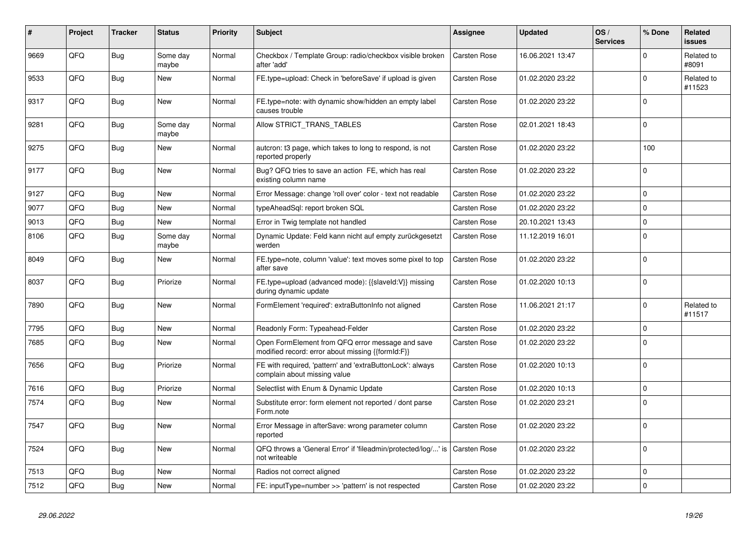| #    | Project | <b>Tracker</b> | <b>Status</b>     | <b>Priority</b> | <b>Subject</b>                                                                                        | Assignee            | <b>Updated</b>   | OS/<br><b>Services</b> | % Done      | Related<br><b>issues</b> |
|------|---------|----------------|-------------------|-----------------|-------------------------------------------------------------------------------------------------------|---------------------|------------------|------------------------|-------------|--------------------------|
| 9669 | QFQ     | <b>Bug</b>     | Some day<br>maybe | Normal          | Checkbox / Template Group: radio/checkbox visible broken<br>after 'add'                               | Carsten Rose        | 16.06.2021 13:47 |                        | $\Omega$    | Related to<br>#8091      |
| 9533 | QFQ     | Bug            | <b>New</b>        | Normal          | FE.type=upload: Check in 'beforeSave' if upload is given                                              | <b>Carsten Rose</b> | 01.02.2020 23:22 |                        | $\mathbf 0$ | Related to<br>#11523     |
| 9317 | QFQ     | Bug            | <b>New</b>        | Normal          | FE.type=note: with dynamic show/hidden an empty label<br>causes trouble                               | <b>Carsten Rose</b> | 01.02.2020 23:22 |                        | $\Omega$    |                          |
| 9281 | QFQ     | Bug            | Some day<br>maybe | Normal          | Allow STRICT_TRANS_TABLES                                                                             | <b>Carsten Rose</b> | 02.01.2021 18:43 |                        | $\mathbf 0$ |                          |
| 9275 | QFQ     | <b>Bug</b>     | <b>New</b>        | Normal          | autcron: t3 page, which takes to long to respond, is not<br>reported properly                         | <b>Carsten Rose</b> | 01.02.2020 23:22 |                        | 100         |                          |
| 9177 | QFQ     | <b>Bug</b>     | New               | Normal          | Bug? QFQ tries to save an action FE, which has real<br>existing column name                           | <b>Carsten Rose</b> | 01.02.2020 23:22 |                        | $\Omega$    |                          |
| 9127 | QFQ     | Bug            | <b>New</b>        | Normal          | Error Message: change 'roll over' color - text not readable                                           | Carsten Rose        | 01.02.2020 23:22 |                        | $\mathbf 0$ |                          |
| 9077 | QFQ     | <b>Bug</b>     | <b>New</b>        | Normal          | typeAheadSql: report broken SQL                                                                       | <b>Carsten Rose</b> | 01.02.2020 23:22 |                        | $\mathbf 0$ |                          |
| 9013 | QFQ     | <b>Bug</b>     | New               | Normal          | Error in Twig template not handled                                                                    | Carsten Rose        | 20.10.2021 13:43 |                        | $\mathbf 0$ |                          |
| 8106 | QFQ     | <b>Bug</b>     | Some day<br>maybe | Normal          | Dynamic Update: Feld kann nicht auf empty zurückgesetzt<br>werden                                     | Carsten Rose        | 11.12.2019 16:01 |                        | $\mathbf 0$ |                          |
| 8049 | QFQ     | Bug            | <b>New</b>        | Normal          | FE.type=note, column 'value': text moves some pixel to top<br>after save                              | Carsten Rose        | 01.02.2020 23:22 |                        | $\mathbf 0$ |                          |
| 8037 | QFQ     | <b>Bug</b>     | Priorize          | Normal          | FE.type=upload (advanced mode): {{slaveId:V}} missing<br>during dynamic update                        | <b>Carsten Rose</b> | 01.02.2020 10:13 |                        | $\Omega$    |                          |
| 7890 | QFQ     | <b>Bug</b>     | <b>New</b>        | Normal          | FormElement 'required': extraButtonInfo not aligned                                                   | <b>Carsten Rose</b> | 11.06.2021 21:17 |                        | $\Omega$    | Related to<br>#11517     |
| 7795 | QFQ     | Bug            | New               | Normal          | Readonly Form: Typeahead-Felder                                                                       | <b>Carsten Rose</b> | 01.02.2020 23:22 |                        | $\mathbf 0$ |                          |
| 7685 | QFQ     | <b>Bug</b>     | <b>New</b>        | Normal          | Open FormElement from QFQ error message and save<br>modified record: error about missing {{formId:F}} | <b>Carsten Rose</b> | 01.02.2020 23:22 |                        | $\Omega$    |                          |
| 7656 | QFQ     | Bug            | Priorize          | Normal          | FE with required, 'pattern' and 'extraButtonLock': always<br>complain about missing value             | <b>Carsten Rose</b> | 01.02.2020 10:13 |                        | $\Omega$    |                          |
| 7616 | QFQ     | Bug            | Priorize          | Normal          | Selectlist with Enum & Dynamic Update                                                                 | Carsten Rose        | 01.02.2020 10:13 |                        | $\mathbf 0$ |                          |
| 7574 | QFQ     | Bug            | <b>New</b>        | Normal          | Substitute error: form element not reported / dont parse<br>Form.note                                 | <b>Carsten Rose</b> | 01.02.2020 23:21 |                        | $\Omega$    |                          |
| 7547 | QFQ     | Bug            | <b>New</b>        | Normal          | Error Message in afterSave: wrong parameter column<br>reported                                        | <b>Carsten Rose</b> | 01.02.2020 23:22 |                        | $\Omega$    |                          |
| 7524 | QFQ     | <b>Bug</b>     | New               | Normal          | QFQ throws a 'General Error' if 'fileadmin/protected/log/' is<br>not writeable                        | Carsten Rose        | 01.02.2020 23:22 |                        | $\mathbf 0$ |                          |
| 7513 | QFQ     | Bug            | New               | Normal          | Radios not correct aligned                                                                            | Carsten Rose        | 01.02.2020 23:22 |                        | $\mathbf 0$ |                          |
| 7512 | QFQ     | <b>Bug</b>     | New               | Normal          | FE: inputType=number >> 'pattern' is not respected                                                    | <b>Carsten Rose</b> | 01.02.2020 23:22 |                        | $\Omega$    |                          |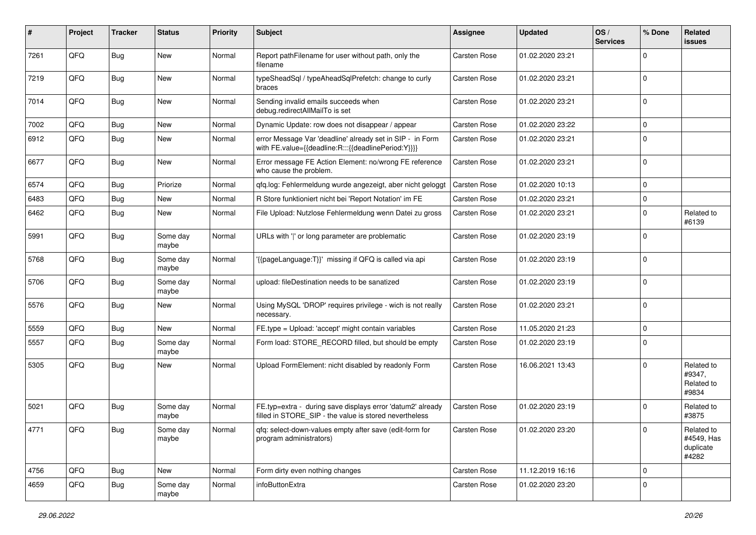| #    | Project | <b>Tracker</b> | <b>Status</b>     | <b>Priority</b> | <b>Subject</b>                                                                                                       | Assignee     | <b>Updated</b>   | OS/<br><b>Services</b> | % Done      | Related<br><b>issues</b>                       |
|------|---------|----------------|-------------------|-----------------|----------------------------------------------------------------------------------------------------------------------|--------------|------------------|------------------------|-------------|------------------------------------------------|
| 7261 | QFQ     | Bug            | New               | Normal          | Report pathFilename for user without path, only the<br>filename                                                      | Carsten Rose | 01.02.2020 23:21 |                        | $\Omega$    |                                                |
| 7219 | QFQ     | <b>Bug</b>     | New               | Normal          | typeSheadSql / typeAheadSqlPrefetch: change to curly<br>braces                                                       | Carsten Rose | 01.02.2020 23:21 |                        | $\mathbf 0$ |                                                |
| 7014 | QFQ     | Bug            | New               | Normal          | Sending invalid emails succeeds when<br>debug.redirectAllMailTo is set                                               | Carsten Rose | 01.02.2020 23:21 |                        | $\mathbf 0$ |                                                |
| 7002 | QFQ     | <b>Bug</b>     | <b>New</b>        | Normal          | Dynamic Update: row does not disappear / appear                                                                      | Carsten Rose | 01.02.2020 23:22 |                        | 0           |                                                |
| 6912 | QFQ     | Bug            | <b>New</b>        | Normal          | error Message Var 'deadline' already set in SIP - in Form<br>with FE.value={{deadline:R:::{{deadlinePeriod:Y}}}}     | Carsten Rose | 01.02.2020 23:21 |                        | $\Omega$    |                                                |
| 6677 | QFQ     | <b>Bug</b>     | New               | Normal          | Error message FE Action Element: no/wrong FE reference<br>who cause the problem.                                     | Carsten Rose | 01.02.2020 23:21 |                        | $\Omega$    |                                                |
| 6574 | QFQ     | Bug            | Priorize          | Normal          | qfq.log: Fehlermeldung wurde angezeigt, aber nicht geloggt                                                           | Carsten Rose | 01.02.2020 10:13 |                        | $\mathbf 0$ |                                                |
| 6483 | QFQ     | <b>Bug</b>     | New               | Normal          | R Store funktioniert nicht bei 'Report Notation' im FE                                                               | Carsten Rose | 01.02.2020 23:21 |                        | 0           |                                                |
| 6462 | QFQ     | <b>Bug</b>     | <b>New</b>        | Normal          | File Upload: Nutzlose Fehlermeldung wenn Datei zu gross                                                              | Carsten Rose | 01.02.2020 23:21 |                        | $\mathbf 0$ | Related to<br>#6139                            |
| 5991 | QFQ     | Bug            | Some day<br>maybe | Normal          | URLs with ' ' or long parameter are problematic                                                                      | Carsten Rose | 01.02.2020 23:19 |                        | $\Omega$    |                                                |
| 5768 | QFQ     | <b>Bug</b>     | Some day<br>maybe | Normal          | '{{pageLanguage:T}}' missing if QFQ is called via api                                                                | Carsten Rose | 01.02.2020 23:19 |                        | $\mathbf 0$ |                                                |
| 5706 | QFQ     | Bug            | Some day<br>maybe | Normal          | upload: fileDestination needs to be sanatized                                                                        | Carsten Rose | 01.02.2020 23:19 |                        | $\mathbf 0$ |                                                |
| 5576 | QFQ     | Bug            | New               | Normal          | Using MySQL 'DROP' requires privilege - wich is not really<br>necessary.                                             | Carsten Rose | 01.02.2020 23:21 |                        | $\mathbf 0$ |                                                |
| 5559 | QFQ     | Bug            | <b>New</b>        | Normal          | FE.type = Upload: 'accept' might contain variables                                                                   | Carsten Rose | 11.05.2020 21:23 |                        | $\mathbf 0$ |                                                |
| 5557 | QFQ     | <b>Bug</b>     | Some day<br>maybe | Normal          | Form load: STORE_RECORD filled, but should be empty                                                                  | Carsten Rose | 01.02.2020 23:19 |                        | $\Omega$    |                                                |
| 5305 | QFQ     | Bug            | New               | Normal          | Upload FormElement: nicht disabled by readonly Form                                                                  | Carsten Rose | 16.06.2021 13:43 |                        | $\mathbf 0$ | Related to<br>#9347,<br>Related to<br>#9834    |
| 5021 | QFQ     | Bug            | Some day<br>maybe | Normal          | FE.typ=extra - during save displays error 'datum2' already<br>filled in STORE_SIP - the value is stored nevertheless | Carsten Rose | 01.02.2020 23:19 |                        | $\mathbf 0$ | Related to<br>#3875                            |
| 4771 | QFQ     | <b>Bug</b>     | Some day<br>maybe | Normal          | qfq: select-down-values empty after save (edit-form for<br>program administrators)                                   | Carsten Rose | 01.02.2020 23:20 |                        | $\mathbf 0$ | Related to<br>#4549, Has<br>duplicate<br>#4282 |
| 4756 | QFQ     | <b>Bug</b>     | New               | Normal          | Form dirty even nothing changes                                                                                      | Carsten Rose | 11.12.2019 16:16 |                        | $\mathbf 0$ |                                                |
| 4659 | QFQ     | <b>Bug</b>     | Some day<br>maybe | Normal          | infoButtonExtra                                                                                                      | Carsten Rose | 01.02.2020 23:20 |                        | $\pmb{0}$   |                                                |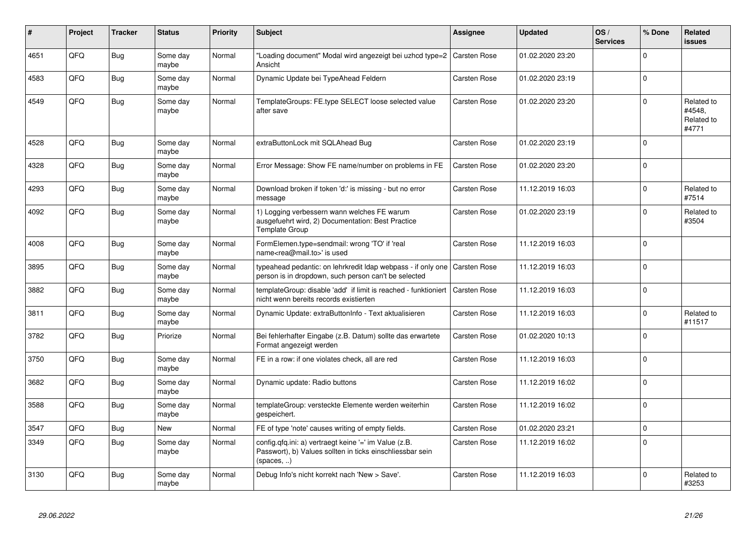| #    | Project | <b>Tracker</b> | <b>Status</b>     | <b>Priority</b> | <b>Subject</b>                                                                                                                      | <b>Assignee</b>     | <b>Updated</b>   | OS/<br><b>Services</b> | % Done      | Related<br>issues                           |
|------|---------|----------------|-------------------|-----------------|-------------------------------------------------------------------------------------------------------------------------------------|---------------------|------------------|------------------------|-------------|---------------------------------------------|
| 4651 | QFQ     | <b>Bug</b>     | Some day<br>maybe | Normal          | "Loading document" Modal wird angezeigt bei uzhcd type=2   Carsten Rose<br>Ansicht                                                  |                     | 01.02.2020 23:20 |                        | $\Omega$    |                                             |
| 4583 | QFQ     | Bug            | Some day<br>maybe | Normal          | Dynamic Update bei TypeAhead Feldern                                                                                                | Carsten Rose        | 01.02.2020 23:19 |                        | 0           |                                             |
| 4549 | QFQ     | Bug            | Some dav<br>maybe | Normal          | TemplateGroups: FE.type SELECT loose selected value<br>after save                                                                   | Carsten Rose        | 01.02.2020 23:20 |                        | $\Omega$    | Related to<br>#4548,<br>Related to<br>#4771 |
| 4528 | QFQ     | <b>Bug</b>     | Some day<br>maybe | Normal          | extraButtonLock mit SQLAhead Bug                                                                                                    | Carsten Rose        | 01.02.2020 23:19 |                        | $\Omega$    |                                             |
| 4328 | QFQ     | Bug            | Some day<br>maybe | Normal          | Error Message: Show FE name/number on problems in FE                                                                                | Carsten Rose        | 01.02.2020 23:20 |                        | $\Omega$    |                                             |
| 4293 | QFQ     | <b>Bug</b>     | Some day<br>maybe | Normal          | Download broken if token 'd:' is missing - but no error<br>message                                                                  | Carsten Rose        | 11.12.2019 16:03 |                        | $\Omega$    | Related to<br>#7514                         |
| 4092 | QFQ     | <b>Bug</b>     | Some day<br>maybe | Normal          | 1) Logging verbessern wann welches FE warum<br>ausgefuehrt wird, 2) Documentation: Best Practice<br>Template Group                  | <b>Carsten Rose</b> | 01.02.2020 23:19 |                        | $\Omega$    | Related to<br>#3504                         |
| 4008 | QFQ     | <b>Bug</b>     | Some day<br>maybe | Normal          | FormElemen.type=sendmail: wrong 'TO' if 'real<br>name <rea@mail.to>' is used</rea@mail.to>                                          | Carsten Rose        | 11.12.2019 16:03 |                        | $\Omega$    |                                             |
| 3895 | QFQ     | <b>Bug</b>     | Some day<br>maybe | Normal          | typeahead pedantic: on lehrkredit Idap webpass - if only one   Carsten Rose<br>person is in dropdown, such person can't be selected |                     | 11.12.2019 16:03 |                        | $\Omega$    |                                             |
| 3882 | QFQ     | Bug            | Some dav<br>maybe | Normal          | templateGroup: disable 'add' if limit is reached - funktioniert<br>nicht wenn bereits records existierten                           | Carsten Rose        | 11.12.2019 16:03 |                        | $\mathbf 0$ |                                             |
| 3811 | QFQ     | <b>Bug</b>     | Some day<br>maybe | Normal          | Dynamic Update: extraButtonInfo - Text aktualisieren                                                                                | Carsten Rose        | 11.12.2019 16:03 |                        | $\Omega$    | Related to<br>#11517                        |
| 3782 | QFQ     | <b>Bug</b>     | Priorize          | Normal          | Bei fehlerhafter Eingabe (z.B. Datum) sollte das erwartete<br>Format angezeigt werden                                               | <b>Carsten Rose</b> | 01.02.2020 10:13 |                        | $\Omega$    |                                             |
| 3750 | QFQ     | <b>Bug</b>     | Some day<br>maybe | Normal          | FE in a row: if one violates check, all are red                                                                                     | Carsten Rose        | 11.12.2019 16:03 |                        | $\Omega$    |                                             |
| 3682 | QFQ     | <b>Bug</b>     | Some day<br>maybe | Normal          | Dynamic update: Radio buttons                                                                                                       | Carsten Rose        | 11.12.2019 16:02 |                        | $\Omega$    |                                             |
| 3588 | QFQ     | <b>Bug</b>     | Some day<br>maybe | Normal          | templateGroup: versteckte Elemente werden weiterhin<br>gespeichert.                                                                 | <b>Carsten Rose</b> | 11.12.2019 16:02 |                        | $\Omega$    |                                             |
| 3547 | QFQ     | <b>Bug</b>     | <b>New</b>        | Normal          | FE of type 'note' causes writing of empty fields.                                                                                   | Carsten Rose        | 01.02.2020 23:21 |                        | $\Omega$    |                                             |
| 3349 | QFQ     | <b>Bug</b>     | Some day<br>maybe | Normal          | config.qfq.ini: a) vertraegt keine '=' im Value (z.B.<br>Passwort), b) Values sollten in ticks einschliessbar sein<br>(spaces, )    | Carsten Rose        | 11.12.2019 16:02 |                        | $\Omega$    |                                             |
| 3130 | QFQ     | Bug            | Some day<br>maybe | Normal          | Debug Info's nicht korrekt nach 'New > Save'.                                                                                       | <b>Carsten Rose</b> | 11.12.2019 16:03 |                        | $\Omega$    | Related to<br>#3253                         |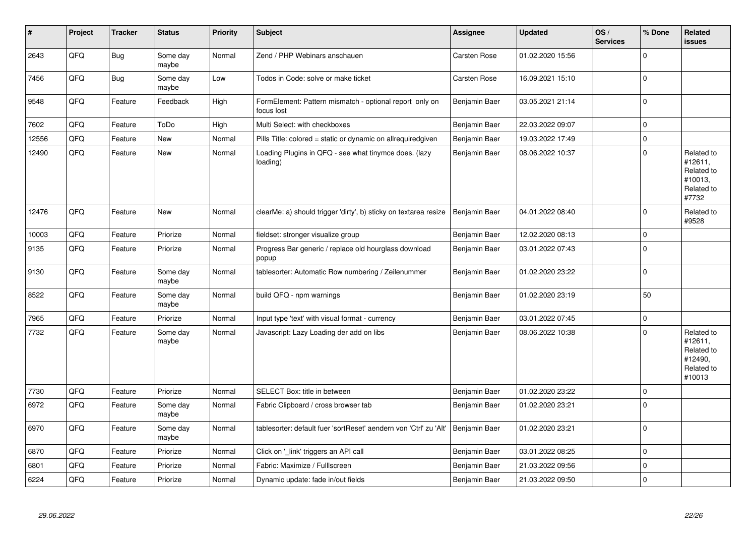| $\pmb{\sharp}$ | Project | <b>Tracker</b> | <b>Status</b>     | <b>Priority</b> | <b>Subject</b>                                                        | <b>Assignee</b> | <b>Updated</b>   | OS/<br><b>Services</b> | % Done      | Related<br><b>issues</b>                                               |
|----------------|---------|----------------|-------------------|-----------------|-----------------------------------------------------------------------|-----------------|------------------|------------------------|-------------|------------------------------------------------------------------------|
| 2643           | QFQ     | <b>Bug</b>     | Some day<br>maybe | Normal          | Zend / PHP Webinars anschauen                                         | Carsten Rose    | 01.02.2020 15:56 |                        | $\Omega$    |                                                                        |
| 7456           | QFQ     | Bug            | Some day<br>maybe | Low             | Todos in Code: solve or make ticket                                   | Carsten Rose    | 16.09.2021 15:10 |                        | $\Omega$    |                                                                        |
| 9548           | QFQ     | Feature        | Feedback          | High            | FormElement: Pattern mismatch - optional report only on<br>focus lost | Benjamin Baer   | 03.05.2021 21:14 |                        | 0           |                                                                        |
| 7602           | QFQ     | Feature        | ToDo              | High            | Multi Select: with checkboxes                                         | Benjamin Baer   | 22.03.2022 09:07 |                        | $\mathbf 0$ |                                                                        |
| 12556          | QFQ     | Feature        | <b>New</b>        | Normal          | Pills Title: colored = static or dynamic on allrequiredgiven          | Benjamin Baer   | 19.03.2022 17:49 |                        | 0           |                                                                        |
| 12490          | QFQ     | Feature        | New               | Normal          | Loading Plugins in QFQ - see what tinymce does. (lazy<br>loading)     | Benjamin Baer   | 08.06.2022 10:37 |                        | $\Omega$    | Related to<br>#12611,<br>Related to<br>#10013,<br>Related to<br>#7732  |
| 12476          | QFQ     | Feature        | New               | Normal          | clearMe: a) should trigger 'dirty', b) sticky on textarea resize      | Benjamin Baer   | 04.01.2022 08:40 |                        | $\Omega$    | Related to<br>#9528                                                    |
| 10003          | QFQ     | Feature        | Priorize          | Normal          | fieldset: stronger visualize group                                    | Benjamin Baer   | 12.02.2020 08:13 |                        | $\Omega$    |                                                                        |
| 9135           | QFQ     | Feature        | Priorize          | Normal          | Progress Bar generic / replace old hourglass download<br>popup        | Benjamin Baer   | 03.01.2022 07:43 |                        | $\Omega$    |                                                                        |
| 9130           | QFQ     | Feature        | Some day<br>maybe | Normal          | tablesorter: Automatic Row numbering / Zeilenummer                    | Benjamin Baer   | 01.02.2020 23:22 |                        | $\pmb{0}$   |                                                                        |
| 8522           | QFQ     | Feature        | Some day<br>maybe | Normal          | build QFQ - npm warnings                                              | Benjamin Baer   | 01.02.2020 23:19 |                        | 50          |                                                                        |
| 7965           | QFQ     | Feature        | Priorize          | Normal          | Input type 'text' with visual format - currency                       | Benjamin Baer   | 03.01.2022 07:45 |                        | 0           |                                                                        |
| 7732           | QFQ     | Feature        | Some day<br>maybe | Normal          | Javascript: Lazy Loading der add on libs                              | Benjamin Baer   | 08.06.2022 10:38 |                        | $\Omega$    | Related to<br>#12611,<br>Related to<br>#12490,<br>Related to<br>#10013 |
| 7730           | QFQ     | Feature        | Priorize          | Normal          | SELECT Box: title in between                                          | Benjamin Baer   | 01.02.2020 23:22 |                        | $\Omega$    |                                                                        |
| 6972           | QFQ     | Feature        | Some day<br>maybe | Normal          | Fabric Clipboard / cross browser tab                                  | Benjamin Baer   | 01.02.2020 23:21 |                        | $\Omega$    |                                                                        |
| 6970           | QFQ     | Feature        | Some day<br>maybe | Normal          | tablesorter: default fuer 'sortReset' aendern von 'Ctrl' zu 'Alt'     | Benjamin Baer   | 01.02.2020 23:21 |                        | $\Omega$    |                                                                        |
| 6870           | QFQ     | Feature        | Priorize          | Normal          | Click on '_link' triggers an API call                                 | Benjamin Baer   | 03.01.2022 08:25 |                        | $\Omega$    |                                                                        |
| 6801           | QFQ     | Feature        | Priorize          | Normal          | Fabric: Maximize / Fulllscreen                                        | Benjamin Baer   | 21.03.2022 09:56 |                        | $\Omega$    |                                                                        |
| 6224           | QFQ     | Feature        | Priorize          | Normal          | Dynamic update: fade in/out fields                                    | Benjamin Baer   | 21.03.2022 09:50 |                        | $\pmb{0}$   |                                                                        |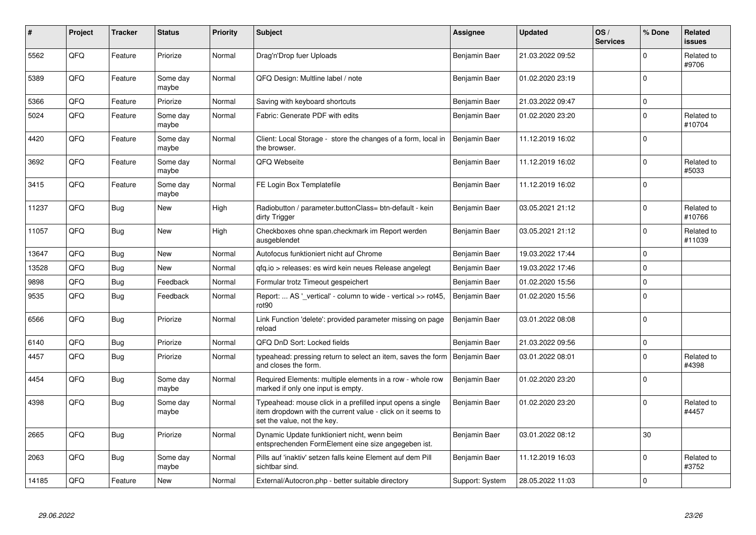| #     | Project | <b>Tracker</b> | <b>Status</b>     | <b>Priority</b> | <b>Subject</b>                                                                                                                                           | <b>Assignee</b> | <b>Updated</b>   | OS/<br><b>Services</b> | % Done      | Related<br>issues    |
|-------|---------|----------------|-------------------|-----------------|----------------------------------------------------------------------------------------------------------------------------------------------------------|-----------------|------------------|------------------------|-------------|----------------------|
| 5562  | QFQ     | Feature        | Priorize          | Normal          | Drag'n'Drop fuer Uploads                                                                                                                                 | Benjamin Baer   | 21.03.2022 09:52 |                        | $\Omega$    | Related to<br>#9706  |
| 5389  | QFQ     | Feature        | Some day<br>maybe | Normal          | QFQ Design: Multline label / note                                                                                                                        | Benjamin Baer   | 01.02.2020 23:19 |                        | $\Omega$    |                      |
| 5366  | QFQ     | Feature        | Priorize          | Normal          | Saving with keyboard shortcuts                                                                                                                           | Benjamin Baer   | 21.03.2022 09:47 |                        | $\mathbf 0$ |                      |
| 5024  | QFQ     | Feature        | Some day<br>maybe | Normal          | Fabric: Generate PDF with edits                                                                                                                          | Benjamin Baer   | 01.02.2020 23:20 |                        | $\Omega$    | Related to<br>#10704 |
| 4420  | QFQ     | Feature        | Some day<br>maybe | Normal          | Client: Local Storage - store the changes of a form, local in<br>the browser.                                                                            | Benjamin Baer   | 11.12.2019 16:02 |                        | $\Omega$    |                      |
| 3692  | QFQ     | Feature        | Some day<br>maybe | Normal          | QFQ Webseite                                                                                                                                             | Benjamin Baer   | 11.12.2019 16:02 |                        | $\Omega$    | Related to<br>#5033  |
| 3415  | QFQ     | Feature        | Some day<br>maybe | Normal          | FE Login Box Templatefile                                                                                                                                | Benjamin Baer   | 11.12.2019 16:02 |                        | $\Omega$    |                      |
| 11237 | QFQ     | Bug            | <b>New</b>        | High            | Radiobutton / parameter.buttonClass= btn-default - kein<br>dirty Trigger                                                                                 | Benjamin Baer   | 03.05.2021 21:12 |                        | $\mathbf 0$ | Related to<br>#10766 |
| 11057 | QFQ     | Bug            | New               | High            | Checkboxes ohne span.checkmark im Report werden<br>ausgeblendet                                                                                          | Benjamin Baer   | 03.05.2021 21:12 |                        | $\mathbf 0$ | Related to<br>#11039 |
| 13647 | QFQ     | <b>Bug</b>     | New               | Normal          | Autofocus funktioniert nicht auf Chrome                                                                                                                  | Benjamin Baer   | 19.03.2022 17:44 |                        | 0           |                      |
| 13528 | QFQ     | Bug            | New               | Normal          | qfq.io > releases: es wird kein neues Release angelegt                                                                                                   | Benjamin Baer   | 19.03.2022 17:46 |                        | $\mathbf 0$ |                      |
| 9898  | QFQ     | Bug            | Feedback          | Normal          | Formular trotz Timeout gespeichert                                                                                                                       | Benjamin Baer   | 01.02.2020 15:56 |                        | 0           |                      |
| 9535  | QFQ     | <b>Bug</b>     | Feedback          | Normal          | Report:  AS '_vertical' - column to wide - vertical >> rot45,<br>rot90                                                                                   | Benjamin Baer   | 01.02.2020 15:56 |                        | $\Omega$    |                      |
| 6566  | QFQ     | Bug            | Priorize          | Normal          | Link Function 'delete': provided parameter missing on page<br>reload                                                                                     | Benjamin Baer   | 03.01.2022 08:08 |                        | 0           |                      |
| 6140  | QFQ     | Bug            | Priorize          | Normal          | QFQ DnD Sort: Locked fields                                                                                                                              | Benjamin Baer   | 21.03.2022 09:56 |                        | $\mathbf 0$ |                      |
| 4457  | QFQ     | Bug            | Priorize          | Normal          | typeahead: pressing return to select an item, saves the form<br>and closes the form.                                                                     | Benjamin Baer   | 03.01.2022 08:01 |                        | 0           | Related to<br>#4398  |
| 4454  | QFQ     | <b>Bug</b>     | Some day<br>maybe | Normal          | Required Elements: multiple elements in a row - whole row<br>marked if only one input is empty.                                                          | Benjamin Baer   | 01.02.2020 23:20 |                        | $\mathbf 0$ |                      |
| 4398  | QFQ     | <b>Bug</b>     | Some day<br>maybe | Normal          | Typeahead: mouse click in a prefilled input opens a single<br>item dropdown with the current value - click on it seems to<br>set the value, not the key. | Benjamin Baer   | 01.02.2020 23:20 |                        | $\Omega$    | Related to<br>#4457  |
| 2665  | QFQ     | <b>Bug</b>     | Priorize          | Normal          | Dynamic Update funktioniert nicht, wenn beim<br>entsprechenden FormElement eine size angegeben ist.                                                      | Benjamin Baer   | 03.01.2022 08:12 |                        | 30          |                      |
| 2063  | QFQ     | <b>Bug</b>     | Some day<br>maybe | Normal          | Pills auf 'inaktiv' setzen falls keine Element auf dem Pill<br>sichtbar sind.                                                                            | Benjamin Baer   | 11.12.2019 16:03 |                        | 0           | Related to<br>#3752  |
| 14185 | QFQ     | Feature        | New               | Normal          | External/Autocron.php - better suitable directory                                                                                                        | Support: System | 28.05.2022 11:03 |                        | $\Omega$    |                      |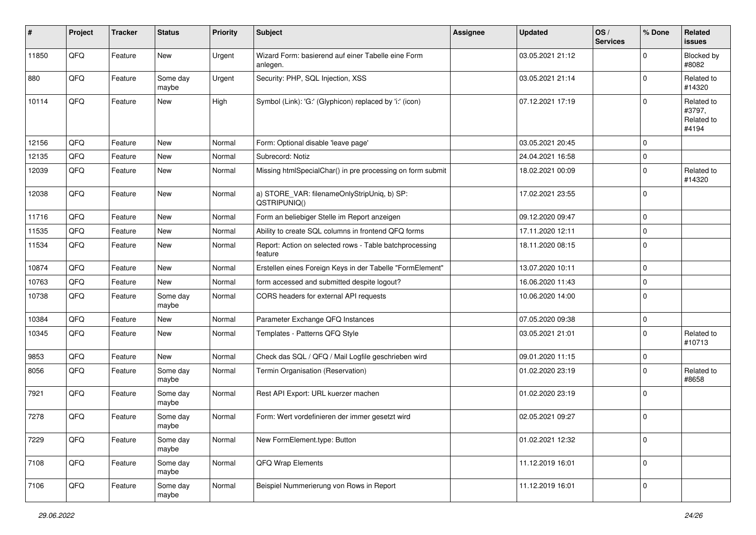| $\vert$ # | Project | <b>Tracker</b> | <b>Status</b>     | <b>Priority</b> | <b>Subject</b>                                                     | Assignee | Updated          | OS/<br><b>Services</b> | % Done      | Related<br>issues                           |
|-----------|---------|----------------|-------------------|-----------------|--------------------------------------------------------------------|----------|------------------|------------------------|-------------|---------------------------------------------|
| 11850     | QFQ     | Feature        | <b>New</b>        | Urgent          | Wizard Form: basierend auf einer Tabelle eine Form<br>anlegen.     |          | 03.05.2021 21:12 |                        | $\Omega$    | Blocked by<br>#8082                         |
| 880       | QFQ     | Feature        | Some day<br>maybe | Urgent          | Security: PHP, SQL Injection, XSS                                  |          | 03.05.2021 21:14 |                        | $\Omega$    | Related to<br>#14320                        |
| 10114     | QFQ     | Feature        | <b>New</b>        | High            | Symbol (Link): 'G:' (Glyphicon) replaced by 'i:' (icon)            |          | 07.12.2021 17:19 |                        | $\Omega$    | Related to<br>#3797,<br>Related to<br>#4194 |
| 12156     | QFQ     | Feature        | <b>New</b>        | Normal          | Form: Optional disable 'leave page'                                |          | 03.05.2021 20:45 |                        | $\Omega$    |                                             |
| 12135     | QFQ     | Feature        | <b>New</b>        | Normal          | Subrecord: Notiz                                                   |          | 24.04.2021 16:58 |                        | 0           |                                             |
| 12039     | QFQ     | Feature        | New               | Normal          | Missing htmlSpecialChar() in pre processing on form submit         |          | 18.02.2021 00:09 |                        | $\mathbf 0$ | Related to<br>#14320                        |
| 12038     | QFQ     | Feature        | New               | Normal          | a) STORE_VAR: filenameOnlyStripUniq, b) SP:<br>QSTRIPUNIQ()        |          | 17.02.2021 23:55 |                        | $\Omega$    |                                             |
| 11716     | QFQ     | Feature        | New               | Normal          | Form an beliebiger Stelle im Report anzeigen                       |          | 09.12.2020 09:47 |                        | 0           |                                             |
| 11535     | QFQ     | Feature        | New               | Normal          | Ability to create SQL columns in frontend QFQ forms                |          | 17.11.2020 12:11 |                        | $\Omega$    |                                             |
| 11534     | QFQ     | Feature        | New               | Normal          | Report: Action on selected rows - Table batchprocessing<br>feature |          | 18.11.2020 08:15 |                        | $\Omega$    |                                             |
| 10874     | QFQ     | Feature        | New               | Normal          | Erstellen eines Foreign Keys in der Tabelle "FormElement"          |          | 13.07.2020 10:11 |                        | 0           |                                             |
| 10763     | QFQ     | Feature        | New               | Normal          | form accessed and submitted despite logout?                        |          | 16.06.2020 11:43 |                        | 0           |                                             |
| 10738     | QFQ     | Feature        | Some day<br>maybe | Normal          | CORS headers for external API requests                             |          | 10.06.2020 14:00 |                        | $\Omega$    |                                             |
| 10384     | QFQ     | Feature        | New               | Normal          | Parameter Exchange QFQ Instances                                   |          | 07.05.2020 09:38 |                        | 0           |                                             |
| 10345     | QFQ     | Feature        | New               | Normal          | Templates - Patterns QFQ Style                                     |          | 03.05.2021 21:01 |                        | $\mathbf 0$ | Related to<br>#10713                        |
| 9853      | QFQ     | Feature        | New               | Normal          | Check das SQL / QFQ / Mail Logfile geschrieben wird                |          | 09.01.2020 11:15 |                        | $\mathbf 0$ |                                             |
| 8056      | QFQ     | Feature        | Some day<br>maybe | Normal          | Termin Organisation (Reservation)                                  |          | 01.02.2020 23:19 |                        | $\Omega$    | Related to<br>#8658                         |
| 7921      | QFQ     | Feature        | Some day<br>maybe | Normal          | Rest API Export: URL kuerzer machen                                |          | 01.02.2020 23:19 |                        | $\Omega$    |                                             |
| 7278      | QFQ     | Feature        | Some day<br>maybe | Normal          | Form: Wert vordefinieren der immer gesetzt wird                    |          | 02.05.2021 09:27 |                        | 0           |                                             |
| 7229      | QFQ     | Feature        | Some day<br>maybe | Normal          | New FormElement.type: Button                                       |          | 01.02.2021 12:32 |                        | 0           |                                             |
| 7108      | QFQ     | Feature        | Some day<br>maybe | Normal          | QFQ Wrap Elements                                                  |          | 11.12.2019 16:01 |                        | 0           |                                             |
| 7106      | QFG     | Feature        | Some day<br>maybe | Normal          | Beispiel Nummerierung von Rows in Report                           |          | 11.12.2019 16:01 |                        | 0           |                                             |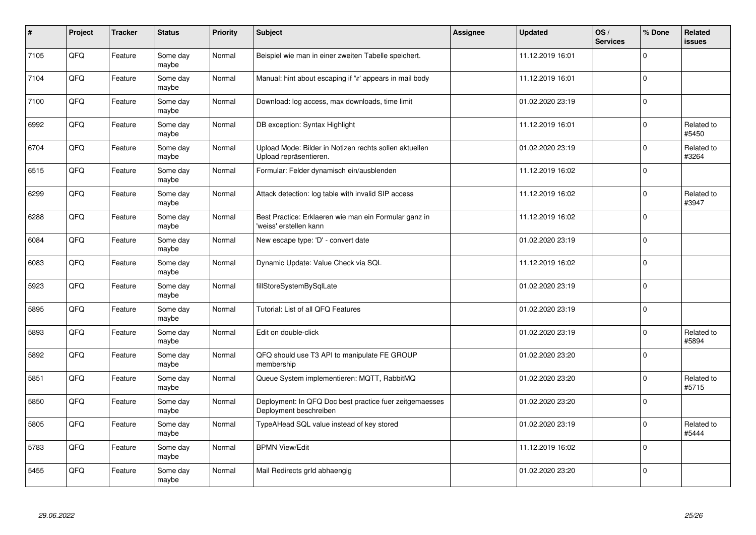| $\pmb{\#}$ | Project | <b>Tracker</b> | <b>Status</b>     | <b>Priority</b> | <b>Subject</b>                                                                    | Assignee | <b>Updated</b>   | OS/<br><b>Services</b> | % Done      | Related<br>issues   |
|------------|---------|----------------|-------------------|-----------------|-----------------------------------------------------------------------------------|----------|------------------|------------------------|-------------|---------------------|
| 7105       | QFQ     | Feature        | Some day<br>maybe | Normal          | Beispiel wie man in einer zweiten Tabelle speichert.                              |          | 11.12.2019 16:01 |                        | $\Omega$    |                     |
| 7104       | QFQ     | Feature        | Some day<br>maybe | Normal          | Manual: hint about escaping if '\r' appears in mail body                          |          | 11.12.2019 16:01 |                        | 0           |                     |
| 7100       | QFQ     | Feature        | Some day<br>maybe | Normal          | Download: log access, max downloads, time limit                                   |          | 01.02.2020 23:19 |                        | $\mathbf 0$ |                     |
| 6992       | QFQ     | Feature        | Some day<br>maybe | Normal          | DB exception: Syntax Highlight                                                    |          | 11.12.2019 16:01 |                        | 0           | Related to<br>#5450 |
| 6704       | QFQ     | Feature        | Some day<br>maybe | Normal          | Upload Mode: Bilder in Notizen rechts sollen aktuellen<br>Upload repräsentieren.  |          | 01.02.2020 23:19 |                        | $\Omega$    | Related to<br>#3264 |
| 6515       | QFQ     | Feature        | Some day<br>maybe | Normal          | Formular: Felder dynamisch ein/ausblenden                                         |          | 11.12.2019 16:02 |                        | 0           |                     |
| 6299       | QFQ     | Feature        | Some day<br>maybe | Normal          | Attack detection: log table with invalid SIP access                               |          | 11.12.2019 16:02 |                        | $\pmb{0}$   | Related to<br>#3947 |
| 6288       | QFQ     | Feature        | Some day<br>maybe | Normal          | Best Practice: Erklaeren wie man ein Formular ganz in<br>'weiss' erstellen kann   |          | 11.12.2019 16:02 |                        | $\mathbf 0$ |                     |
| 6084       | QFQ     | Feature        | Some day<br>maybe | Normal          | New escape type: 'D' - convert date                                               |          | 01.02.2020 23:19 |                        | $\mathbf 0$ |                     |
| 6083       | QFQ     | Feature        | Some day<br>maybe | Normal          | Dynamic Update: Value Check via SQL                                               |          | 11.12.2019 16:02 |                        | $\mathbf 0$ |                     |
| 5923       | QFQ     | Feature        | Some day<br>maybe | Normal          | fillStoreSystemBySqlLate                                                          |          | 01.02.2020 23:19 |                        | $\Omega$    |                     |
| 5895       | QFQ     | Feature        | Some day<br>maybe | Normal          | Tutorial: List of all QFQ Features                                                |          | 01.02.2020 23:19 |                        | $\pmb{0}$   |                     |
| 5893       | QFQ     | Feature        | Some day<br>maybe | Normal          | Edit on double-click                                                              |          | 01.02.2020 23:19 |                        | $\mathbf 0$ | Related to<br>#5894 |
| 5892       | QFQ     | Feature        | Some day<br>maybe | Normal          | QFQ should use T3 API to manipulate FE GROUP<br>membership                        |          | 01.02.2020 23:20 |                        | $\pmb{0}$   |                     |
| 5851       | QFQ     | Feature        | Some day<br>maybe | Normal          | Queue System implementieren: MQTT, RabbitMQ                                       |          | 01.02.2020 23:20 |                        | $\Omega$    | Related to<br>#5715 |
| 5850       | QFQ     | Feature        | Some day<br>maybe | Normal          | Deployment: In QFQ Doc best practice fuer zeitgemaesses<br>Deployment beschreiben |          | 01.02.2020 23:20 |                        | $\Omega$    |                     |
| 5805       | QFQ     | Feature        | Some day<br>maybe | Normal          | TypeAHead SQL value instead of key stored                                         |          | 01.02.2020 23:19 |                        | 0           | Related to<br>#5444 |
| 5783       | QFQ     | Feature        | Some day<br>maybe | Normal          | <b>BPMN View/Edit</b>                                                             |          | 11.12.2019 16:02 |                        | $\pmb{0}$   |                     |
| 5455       | QFQ     | Feature        | Some day<br>maybe | Normal          | Mail Redirects grld abhaengig                                                     |          | 01.02.2020 23:20 |                        | 0           |                     |